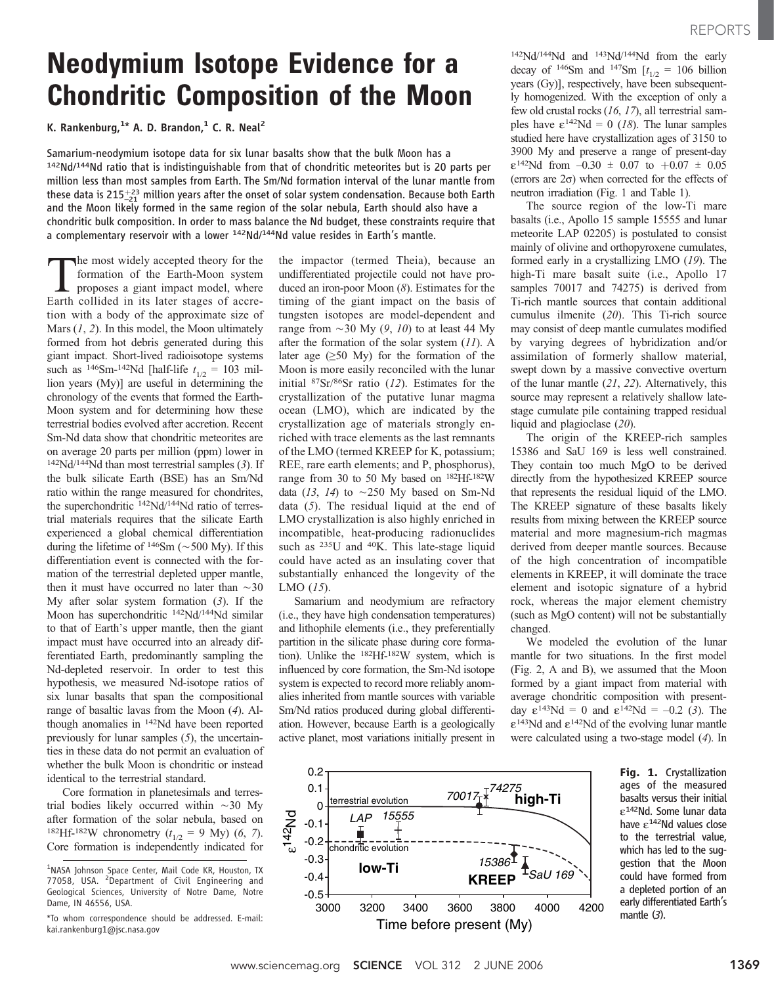# Neodymium Isotope Evidence for a Chondritic Composition of the Moon

K. Rankenburg, $^{1*}$  A. D. Brandon, $^{1}$  C. R. Neal $^{2}$ 

Samarium-neodymium isotope data for six lunar basalts show that the bulk Moon has a 142Nd/144Nd ratio that is indistinguishable from that of chondritic meteorites but is 20 parts per million less than most samples from Earth. The Sm/Nd formation interval of the lunar mantle from these data is 215 $^{+23}_{-21}$  million years after the onset of solar system condensation. Because both Earth and the Moon likely formed in the same region of the solar nebula, Earth should also have a chondritic bulk composition. In order to mass balance the Nd budget, these constraints require that a complementary reservoir with a lower 142Nd/144Nd value resides in Earth's mantle.

The most widely accepted theory for the<br>formation of the Earth-Moon system<br>proposes a giant impact model, where<br>Farth collided in its later stages of accreformation of the Earth-Moon system Earth collided in its later stages of accretion with a body of the approximate size of Mars  $(1, 2)$ . In this model, the Moon ultimately formed from hot debris generated during this giant impact. Short-lived radioisotope systems such as  $^{146}Sm^{-142}Nd$  [half-life  $t_{1/2} = 103$  million years (My)] are useful in determining the chronology of the events that formed the Earth-Moon system and for determining how these terrestrial bodies evolved after accretion. Recent Sm-Nd data show that chondritic meteorites are on average 20 parts per million (ppm) lower in  $142Nd/144Nd$  than most terrestrial samples (3). If the bulk silicate Earth (BSE) has an Sm/Nd ratio within the range measured for chondrites, the superchondritic <sup>142</sup>Nd/<sup>144</sup>Nd ratio of terrestrial materials requires that the silicate Earth experienced a global chemical differentiation during the lifetime of  $146Sm$  ( $\sim$  500 My). If this differentiation event is connected with the formation of the terrestrial depleted upper mantle, then it must have occurred no later than  $\sim$ 30 My after solar system formation (3). If the Moon has superchondritic <sup>142</sup>Nd/<sup>144</sup>Nd similar to that of Earth's upper mantle, then the giant impact must have occurred into an already differentiated Earth, predominantly sampling the Nd-depleted reservoir. In order to test this hypothesis, we measured Nd-isotope ratios of six lunar basalts that span the compositional range of basaltic lavas from the Moon (4). Although anomalies in 142Nd have been reported previously for lunar samples (5), the uncertainties in these data do not permit an evaluation of whether the bulk Moon is chondritic or instead identical to the terrestrial standard.

Core formation in planetesimals and terrestrial bodies likely occurred within  $\sim$  30 My after formation of the solar nebula, based on <sup>182</sup>Hf-<sup>182</sup>W chronometry ( $t_{1/2}$  = 9 My) (6, 7). Core formation is independently indicated for the impactor (termed Theia), because an undifferentiated projectile could not have produced an iron-poor Moon (8). Estimates for the timing of the giant impact on the basis of tungsten isotopes are model-dependent and range from  $\sim$ 30 My (9, 10) to at least 44 My after the formation of the solar system  $(11)$ . A later age  $( \geq 50 \text{ My})$  for the formation of the Moon is more easily reconciled with the lunar initial 87Sr/86Sr ratio (12). Estimates for the crystallization of the putative lunar magma ocean (LMO), which are indicated by the crystallization age of materials strongly enriched with trace elements as the last remnants of the LMO (termed KREEP for K, potassium; REE, rare earth elements; and P, phosphorus), range from 30 to 50 My based on 182Hf-182W data (13, 14) to  $\sim$  250 My based on Sm-Nd data (5). The residual liquid at the end of LMO crystallization is also highly enriched in incompatible, heat-producing radionuclides such as 235U and 40K. This late-stage liquid could have acted as an insulating cover that substantially enhanced the longevity of the LMO  $(15)$ .

Samarium and neodymium are refractory (i.e., they have high condensation temperatures) and lithophile elements (i.e., they preferentially partition in the silicate phase during core formation). Unlike the 182Hf-182W system, which is influenced by core formation, the Sm-Nd isotope system is expected to record more reliably anomalies inherited from mantle sources with variable Sm/Nd ratios produced during global differentiation. However, because Earth is a geologically active planet, most variations initially present in

terrestrial evolution

*LAP 15555*

L – – – –l– – – – – – –<br>Ichondritic evolution

142Nd/144Nd and 143Nd/144Nd from the early decay of <sup>146</sup>Sm and <sup>147</sup>Sm  $[t_{1/2} = 106$  billion years  $(Gy)$ , respectively, have been subsequently homogenized. With the exception of only a few old crustal rocks (16, 17), all terrestrial samples have  $\varepsilon^{142}Nd = 0$  (18). The lunar samples studied here have crystallization ages of 3150 to 3900 My and preserve a range of present-day  $\varepsilon^{142}$ Nd from  $-0.30 \pm 0.07$  to  $+0.07 \pm 0.05$ (errors are  $2\sigma$ ) when corrected for the effects of neutron irradiation (Fig. 1 and Table 1).

The source region of the low-Ti mare basalts (i.e., Apollo 15 sample 15555 and lunar meteorite LAP 02205) is postulated to consist mainly of olivine and orthopyroxene cumulates, formed early in a crystallizing LMO (19). The high-Ti mare basalt suite (i.e., Apollo 17 samples 70017 and 74275) is derived from Ti-rich mantle sources that contain additional cumulus ilmenite (20). This Ti-rich source may consist of deep mantle cumulates modified by varying degrees of hybridization and/or assimilation of formerly shallow material, swept down by a massive convective overturn of the lunar mantle (21, 22). Alternatively, this source may represent a relatively shallow latestage cumulate pile containing trapped residual liquid and plagioclase (20).

The origin of the KREEP-rich samples 15386 and SaU 169 is less well constrained. They contain too much MgO to be derived directly from the hypothesized KREEP source that represents the residual liquid of the LMO. The KREEP signature of these basalts likely results from mixing between the KREEP source material and more magnesium-rich magmas derived from deeper mantle sources. Because of the high concentration of incompatible elements in KREEP, it will dominate the trace element and isotopic signature of a hybrid rock, whereas the major element chemistry (such as MgO content) will not be substantially changed.

We modeled the evolution of the lunar mantle for two situations. In the first model (Fig. 2, A and B), we assumed that the Moon formed by a giant impact from material with average chondritic composition with presentday  $\varepsilon^{143}Nd = 0$  and  $\varepsilon^{142}Nd = -0.2$  (3). The  $\epsilon^{143}$ Nd and  $\epsilon^{142}$ Nd of the evolving lunar mantle were calculated using a two-stage model (4). In



www.sciencemag.org **SCIENCE** VOL 312 2 JUNE 2006 1369

3000 3200 3400 3600 3800 4000 4200 Time before present (My)

**Sau 169 low-Ti low-Ti low-Ti low-Ti** 

*15386*

**KREEP**

**high-Ti**

*<sup>70017</sup> <sup>74275</sup>*

-0.5 -0.4 -0.3 -0.2 -0.1 0 0.1 0.2

ε142Nd

<sup>&</sup>lt;sup>1</sup>NASA Johnson Space Center, Mail Code KR, Houston, TX 77058, USA. <sup>2</sup>Department of Civil Engineering and Geological Sciences, University of Notre Dame, Notre Dame, IN 46556, USA.

<sup>\*</sup>To whom correspondence should be addressed. E-mail: kai.rankenburg1@jsc.nasa.gov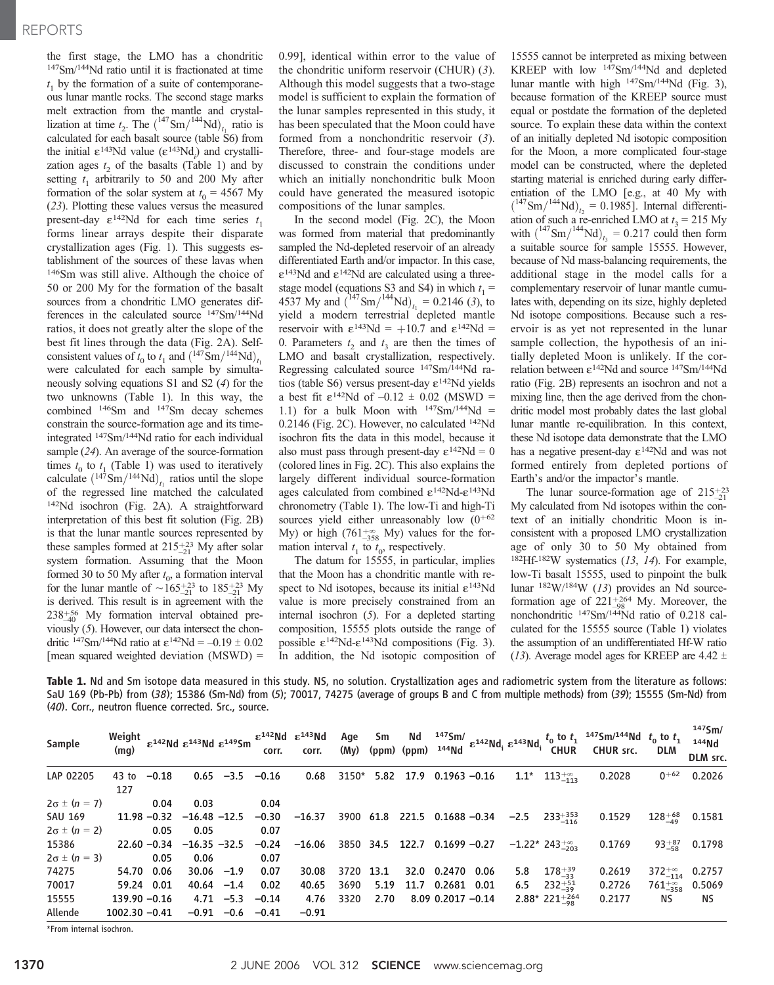the first stage, the LMO has a chondritic 147Sm/144Nd ratio until it is fractionated at time  $t_1$  by the formation of a suite of contemporaneous lunar mantle rocks. The second stage marks melt extraction from the mantle and crystallization at time  $t_2$ . The  $\left(^{147} \text{Sm}\right)_{t_1}^{144}$ Nd)<sub>t<sub>1</sub></sub> ratio is calculated for each basalt source (table S6) from the initial  $\varepsilon^{143}$ Nd value ( $\varepsilon^{143}$ Nd<sub>i</sub>) and crystallization ages  $t_2$  of the basalts (Table 1) and by setting  $t_1$  arbitrarily to 50 and 200 My after formation of the solar system at  $t_0 = 4567$  My (23). Plotting these values versus the measured present-day  $\varepsilon^{142}$ Nd for each time series  $t_1$ forms linear arrays despite their disparate crystallization ages (Fig. 1). This suggests establishment of the sources of these lavas when 146Sm was still alive. Although the choice of 50 or 200 My for the formation of the basalt sources from a chondritic LMO generates differences in the calculated source 147Sm/144Nd ratios, it does not greatly alter the slope of the best fit lines through the data (Fig. 2A). Selfconsistent values of  $t_0$  to  $t_1$  and  $\left(\frac{147}{5} \text{Sm}/\frac{144}{t_1}\text{Nd}\right)_{t_1}$ were calculated for each sample by simultaneously solving equations S1 and S2 (4) for the two unknowns (Table 1). In this way, the combined 146Sm and 147Sm decay schemes constrain the source-formation age and its timeintegrated 147Sm/144Nd ratio for each individual sample (24). An average of the source-formation times  $t_0$  to  $t_1$  (Table 1) was used to iteratively calculate  $(^{147}Sm/^{144}Nd)_{t_1}$  ratios until the slope of the regressed line matched the calculated 142Nd isochron (Fig. 2A). A straightforward interpretation of this best fit solution (Fig. 2B) is that the lunar mantle sources represented by these samples formed at  $215_{-21}^{+23}$  My after solar system formation. Assuming that the Moon formed 30 to 50 My after  $t_0$ , a formation interval for the lunar mantle of  $\sim$  165<sup>+23</sup> to 185<sup>+23</sup> My is derived. This result is in agreement with the  $238^{+56}_{-40}$  My formation interval obtained previously (5). However, our data intersect the chondritic <sup>147</sup>Sm<sup>/144</sup>Nd ratio at  $\varepsilon^{142}$ Nd = -0.19  $\pm$  0.02 [mean squared weighted deviation  $(MSWD) =$  0.99], identical within error to the value of the chondritic uniform reservoir (CHUR) (3). Although this model suggests that a two-stage model is sufficient to explain the formation of the lunar samples represented in this study, it has been speculated that the Moon could have formed from a nonchondritic reservoir (3). Therefore, three- and four-stage models are discussed to constrain the conditions under which an initially nonchondritic bulk Moon could have generated the measured isotopic compositions of the lunar samples.

In the second model (Fig. 2C), the Moon was formed from material that predominantly sampled the Nd-depleted reservoir of an already differentiated Earth and/or impactor. In this case,  $\epsilon^{143}$ Nd and  $\epsilon^{142}$ Nd are calculated using a threestage model (equations S3 and S4) in which  $t_1 =$ 4537 My and  $\left(\frac{147}{\text{Sm}}\right)_{t_1}$  = 0.2146 (3), to yield a modern terrestrial depleted mantle reservoir with  $\varepsilon^{143}$ Nd = +10.7 and  $\varepsilon^{142}$ Nd = 0. Parameters  $t_2$  and  $t_3$  are then the times of LMO and basalt crystallization, respectively. Regressing calculated source 147Sm/144Nd ratios (table S6) versus present-day  $\varepsilon^{142}$ Nd yields a best fit  $\varepsilon^{142}$ Nd of  $-0.12 \pm 0.02$  (MSWD = 1.1) for a bulk Moon with  $147Sm/144Nd =$ 0.2146 (Fig. 2C). However, no calculated 142Nd isochron fits the data in this model, because it also must pass through present-day  $\varepsilon^{142}Nd = 0$ (colored lines in Fig. 2C). This also explains the largely different individual source-formation ages calculated from combined  $\varepsilon^{142}Nd-\varepsilon^{143}Nd$ chronometry (Table 1). The low-Ti and high-Ti sources yield either unreasonably low  $(0+62)$ My) or high (761 $^{+\infty}_{-358}$  My) values for the formation interval  $t_1$  to  $t_0$ , respectively.

The datum for 15555, in particular, implies that the Moon has a chondritic mantle with respect to Nd isotopes, because its initial  $\varepsilon^{143}$ Nd value is more precisely constrained from an internal isochron (5). For a depleted starting composition, 15555 plots outside the range of possible  $\epsilon^{142}$ Nd- $\epsilon^{143}$ Nd compositions (Fig. 3). In addition, the Nd isotopic composition of

15555 cannot be interpreted as mixing between KREEP with low 147Sm/144Nd and depleted lunar mantle with high 147Sm/144Nd (Fig. 3), because formation of the KREEP source must equal or postdate the formation of the depleted source. To explain these data within the context of an initially depleted Nd isotopic composition for the Moon, a more complicated four-stage model can be constructed, where the depleted starting material is enriched during early differentiation of the LMO [e.g., at 40 My with  $\left({}^{147} \text{Sm}\right)/{}^{144} \text{Nd}\right)_{t_2} = 0.1985$ ]. Internal differentiation of such a re-enriched LMO at  $t_3 = 215$  My with  $\left(^{147} \text{Sm}\right)_{t_3} = 0.217$  could then form a suitable source for sample 15555. However, because of Nd mass-balancing requirements, the additional stage in the model calls for a complementary reservoir of lunar mantle cumulates with, depending on its size, highly depleted Nd isotope compositions. Because such a reservoir is as yet not represented in the lunar sample collection, the hypothesis of an initially depleted Moon is unlikely. If the correlation between  $\varepsilon^{142}$ Nd and source  $^{147}$ Sm/ $^{144}$ Nd ratio (Fig. 2B) represents an isochron and not a mixing line, then the age derived from the chondritic model most probably dates the last global lunar mantle re-equilibration. In this context, these Nd isotope data demonstrate that the LMO has a negative present-day  $\varepsilon^{142}$ Nd and was not formed entirely from depleted portions of Earth's and/or the impactor's mantle.

The lunar source-formation age of  $215\substack{+23 \\ -21}$ My calculated from Nd isotopes within the context of an initially chondritic Moon is inconsistent with a proposed LMO crystallization age of only 30 to 50 My obtained from 182Hf-182W systematics (13, 14). For example, low-Ti basalt 15555, used to pinpoint the bulk lunar  $182W/184W$  (13) provides an Nd sourceformation age of  $221_{-98}^{+264}$  My. Moreover, the nonchondritic 147Sm/144Nd ratio of 0.218 calculated for the 15555 source (Table 1) violates the assumption of an undifferentiated Hf-W ratio (13). Average model ages for KREEP are 4.42  $\pm$ 

Table 1. Nd and Sm isotope data measured in this study. NS, no solution. Crystallization ages and radiometric system from the literature as follows: SaU 169 (Pb-Pb) from (38); 15386 (Sm-Nd) from (5); 70017, 74275 (average of groups B and C from multiple methods) from (39); 15555 (Sm-Nd) from (40). Corr., neutron fluence corrected. Src., source.

| Sample                | Weight<br>(mq)   |                | $\epsilon^{142}$ Nd $\epsilon^{143}$ Nd $\epsilon^{149}$ Sm |              | corr.   | $\epsilon^{142}$ Nd $\epsilon^{143}$ Nd<br>corr. | Age<br>(My) | Sm     | Νd<br>$(ppm)$ $(ppm)$ | $144$ Nd              | $\frac{1475 \text{m}}{143 \text{m} \cdot 1}$ $\epsilon^{142} \text{Nd}$ $\epsilon^{143} \text{Nd}$ $\frac{1}{14}$ |        | <b>CHUR</b>                 | $t_0$ to $t_1$ <sup>147</sup> Sm/ <sup>144</sup> Nd $t_0$ to $t_1$<br>CHUR src. | <b>DLM</b>             | $147$ Sm/<br>$144$ <sub>Nd</sub><br>DLM src. |
|-----------------------|------------------|----------------|-------------------------------------------------------------|--------------|---------|--------------------------------------------------|-------------|--------|-----------------------|-----------------------|-------------------------------------------------------------------------------------------------------------------|--------|-----------------------------|---------------------------------------------------------------------------------|------------------------|----------------------------------------------|
| LAP 02205             | $43$ to<br>127   | $-0.18$        |                                                             | $0.65 -3.5$  | $-0.16$ | 0.68                                             | 3150*       | 5.82   | 17.9                  | $0.1963 - 0.16$       |                                                                                                                   | $1.1*$ | $113^{+\infty}_{-113}$      | 0.2028                                                                          | $0 + 62$               | 0.2026                                       |
| $2\sigma \pm (n = 7)$ |                  | 0.04           | 0.03                                                        |              | 0.04    |                                                  |             |        |                       |                       |                                                                                                                   |        |                             |                                                                                 |                        |                                              |
| <b>SAU 169</b>        |                  | $11.98 - 0.32$ | $-16.48 - 12.5$                                             |              | $-0.30$ | $-16.37$                                         | 3900        | 61.8   |                       | 221.5 0.1688 -0.34    |                                                                                                                   | $-2.5$ | $233 + 353$                 | 0.1529                                                                          | $128^{+68}_{-49}$      | 0.1581                                       |
| $2\sigma \pm (n = 2)$ |                  | 0.05           | 0.05                                                        |              | 0.07    |                                                  |             |        |                       |                       |                                                                                                                   |        |                             |                                                                                 |                        |                                              |
| 15386                 |                  | $22.60 - 0.34$ | $-16.35 -32.5$                                              |              | $-0.24$ | $-16.06$                                         | 3850        | - 34.5 |                       | $122.7$ 0.1699 -0.27  |                                                                                                                   |        | $-1.22*243^{+\infty}_{202}$ | 0.1769                                                                          | $93^{+87}_{-58}$       | 0.1798                                       |
| $2\sigma \pm (n=3)$   |                  | 0.05           | 0.06                                                        |              | 0.07    |                                                  |             |        |                       |                       |                                                                                                                   |        |                             |                                                                                 |                        |                                              |
| 74275                 | 54.70            | 0.06           | $30.06 -1.9$                                                |              | 0.07    | 30.08                                            | 3720        | 13.1   | 32.0                  | 0.2470                | 0.06                                                                                                              | 5.8    | $178^{+39}_{-33}$           | 0.2619                                                                          | $372^{+\infty}_{-114}$ | 0.2757                                       |
| 70017                 | 59.24            | 0.01           | $40.64 -1.4$                                                |              | 0.02    | 40.65                                            | 3690        | 5.19   | 11.7                  | 0.2681                | 0.01                                                                                                              | 6.5    | $232^{+51}_{-39}$           | 0.2726                                                                          | $761^{+\infty}_{-358}$ | 0.5069                                       |
| 15555                 | $139.90 - 0.16$  |                |                                                             | $4.71 - 5.3$ | $-0.14$ | 4.76                                             | 3320        | 2.70   |                       | $8.09$ 0.2017 $-0.14$ |                                                                                                                   |        | $2.88*221+264$              | 0.2177                                                                          | ΝS                     | <b>NS</b>                                    |
| Allende               | $1002.30 - 0.41$ |                | $-0.91$                                                     | $-0.6$       | $-0.41$ | $-0.91$                                          |             |        |                       |                       |                                                                                                                   |        |                             |                                                                                 |                        |                                              |

\*From internal isochron.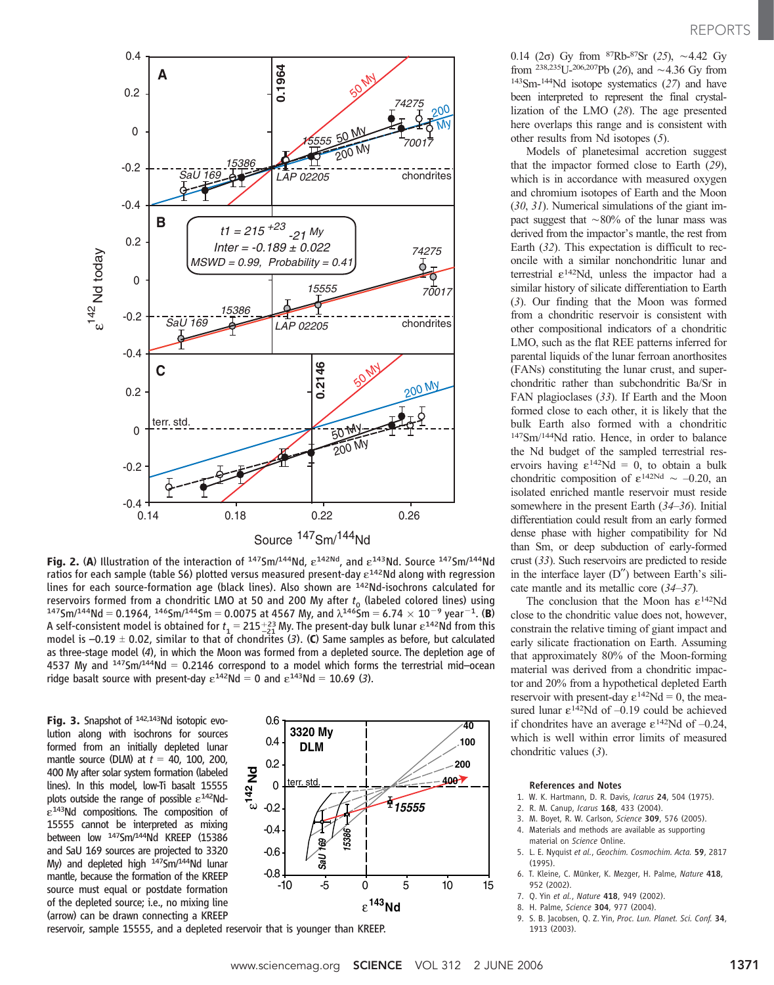

Fig. 2. (A) Illustration of the interaction of  $1475$ m/ $144Nd$ ,  $\varepsilon^{142Nd}$ , and  $\varepsilon^{143}Nd$ . Source  $1475$ m/ $144Nd$ ratios for each sample (table  $56$ ) plotted versus measured present-day  $\varepsilon^{142}$ Nd along with regression lines for each source-formation age (black lines). Also shown are 142Nd-isochrons calculated for reservoirs formed from a chondritic LMO at 50 and 200 My after  $t_0$  (labeled colored lines) using  $147$ Sm/ $144$ Nd = 0.1964,  $146$ Sm/ $144$ Sm = 0.0075 at 4567 My, and  $\lambda^{146}$ Sm = 6.74  $\times$  10<sup>-9</sup> year<sup>-1</sup>. (B) A self-consistent model is obtained for  $t_1 = 215^{+23}_{-21}$  My. The present-day bulk lunar  $\varepsilon^{142}$ Nd from this model is  $-0.19 \pm 0.02$ , similar to that of chondrites (3). (C) Same samples as before, but calculated as three-stage model (4), in which the Moon was formed from a depleted source. The depletion age of 4537 My and  $1475m/144Nd = 0.2146$  correspond to a model which forms the terrestrial mid-ocean ridge basalt source with present-day  $\varepsilon^{142}$ Nd = 0 and  $\varepsilon^{143}$ Nd = 10.69 (3).

Fig. 3. Snapshot of <sup>142,143</sup>Nd isotopic evolution along with isochrons for sources formed from an initially depleted lunar mantle source (DLM) at  $t = 40$ , 100, 200, 400 My after solar system formation (labeled lines). In this model, low-Ti basalt 15555 plots outside the range of possible  $\varepsilon^{142}$ Nd- $\varepsilon^{143}$ Nd compositions. The composition of 15555 cannot be interpreted as mixing between low <sup>147</sup>Sm/<sup>144</sup>Nd KREEP (15386 and SaU 169 sources are projected to 3320 My) and depleted high <sup>147</sup>Sm/<sup>144</sup>Nd lunar mantle, because the formation of the KREEP source must equal or postdate formation of the depleted source; i.e., no mixing line (arrow) can be drawn connecting a KREEP



reservoir, sample 15555, and a depleted reservoir that is younger than KREEP.

0.14 (2 $\sigma$ ) Gy from <sup>87</sup>Rb-<sup>87</sup>Sr (25), ~4.42 Gy from <sup>238,235</sup>U-<sup>206,207</sup>Pb (26), and  $\sim$  4.36 Gy from 143Sm-144Nd isotope systematics (27) and have been interpreted to represent the final crystallization of the LMO (28). The age presented here overlaps this range and is consistent with other results from Nd isotopes (5).

Models of planetesimal accretion suggest that the impactor formed close to Earth (29), which is in accordance with measured oxygen and chromium isotopes of Earth and the Moon (30, 31). Numerical simulations of the giant impact suggest that  $\sim 80\%$  of the lunar mass was derived from the impactor's mantle, the rest from Earth (32). This expectation is difficult to reconcile with a similar nonchondritic lunar and terrestrial  $\varepsilon^{142}$ Nd, unless the impactor had a similar history of silicate differentiation to Earth (3). Our finding that the Moon was formed from a chondritic reservoir is consistent with other compositional indicators of a chondritic LMO, such as the flat REE patterns inferred for parental liquids of the lunar ferroan anorthosites (FANs) constituting the lunar crust, and superchondritic rather than subchondritic Ba/Sr in FAN plagioclases (33). If Earth and the Moon formed close to each other, it is likely that the bulk Earth also formed with a chondritic 147Sm/144Nd ratio. Hence, in order to balance the Nd budget of the sampled terrestrial reservoirs having  $\varepsilon^{142}$ Nd = 0, to obtain a bulk chondritic composition of  $\varepsilon^{142Nd} \sim -0.20$ , and isolated enriched mantle reservoir must reside somewhere in the present Earth (34–36). Initial differentiation could result from an early formed dense phase with higher compatibility for Nd than Sm, or deep subduction of early-formed crust (33). Such reservoirs are predicted to reside in the interface layer  $(D'')$  between Earth's silicate mantle and its metallic core (34–37).

The conclusion that the Moon has  $\varepsilon^{142}$ Nd close to the chondritic value does not, however, constrain the relative timing of giant impact and early silicate fractionation on Earth. Assuming that approximately 80% of the Moon-forming material was derived from a chondritic impactor and 20% from a hypothetical depleted Earth reservoir with present-day  $\varepsilon^{142}Nd = 0$ , the measured lunar  $\varepsilon^{142}$ Nd of -0.19 could be achieved if chondrites have an average  $\varepsilon^{142}$ Nd of -0.24, which is well within error limits of measured chondritic values (3).

#### References and Notes

- 1. W. K. Hartmann, D. R. Davis, Icarus 24, 504 (1975).
- 2. R. M. Canup, Icarus 168, 433 (2004).
- 3. M. Boyet, R. W. Carlson, Science 309, 576 (2005).
- 4. Materials and methods are available as supporting material on Science Online.
- 5. L. E. Nyquist et al., Geochim. Cosmochim. Acta. 59, 2817 (1995).
- 6. T. Kleine, C. Münker, K. Mezger, H. Palme, Nature 418, 952 (2002).
- 7. Q. Yin et al., Nature 418, 949 (2002).
- 8. H. Palme, Science 304, 977 (2004).
- 9. S. B. Jacobsen, Q. Z. Yin, Proc. Lun. Planet. Sci. Conf. 34, 1913 (2003).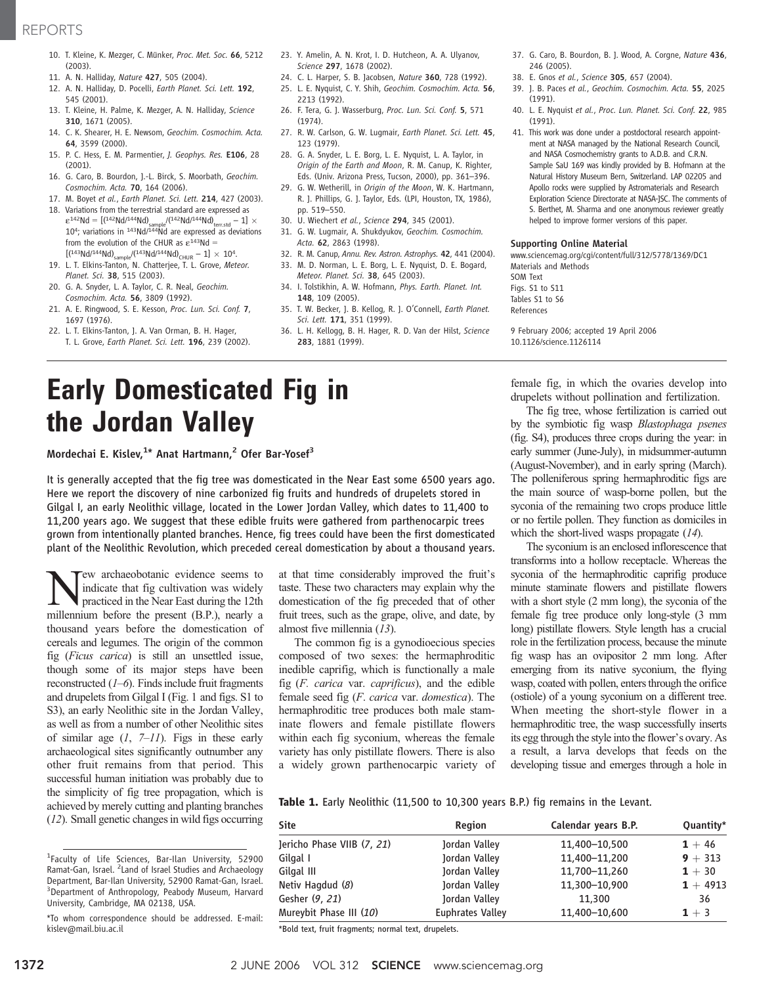## REPORTS

- 10. T. Kleine, K. Mezger, C. Münker, Proc. Met. Soc. 66, 5212 (2003).
- 11. A. N. Halliday, Nature 427, 505 (2004).
- 12. A. N. Halliday, D. Pocelli, Earth Planet. Sci. Lett. 192, 545 (2001).
- 13. T. Kleine, H. Palme, K. Mezger, A. N. Halliday, Science 310, 1671 (2005).
- 14. C. K. Shearer, H. E. Newsom, Geochim. Cosmochim. Acta. 64, 3599 (2000).
- 15. P. C. Hess, E. M. Parmentier, J. Geophys. Res. E106, 28 (2001).
- 16. G. Caro, B. Bourdon, J.-L. Birck, S. Moorbath, Geochim. Cosmochim. Acta. 70, 164 (2006).
- 17. M. Boyet et al., Earth Planet. Sci. Lett. 214, 427 (2003).
- 18. Variations from the terrestrial standard are expressed as  $\varepsilon^{142}$ Nd = [(142Nd/144Nd)<sub>sample</sub>/(142Nd/144Nd)<sub>terr.std</sub> - 1]  $\times$ <br>10<sup>4</sup>; variations in <sup>143</sup>Nd/<sup>144</sup>Nd are expressed as deviations from the evolution of the CHUR as  $\varepsilon^{143}$ Nd =  $[(143Nd/144Nd)_{sample}/(143Nd/144Nd)_{CHUR} - 1] \times 10^4.$
- 19. L. T. Elkins-Tanton, N. Chatterjee, T. L. Grove, Meteor. Planet. Sci. 38, 515 (2003).
- 20. G. A. Snyder, L. A. Taylor, C. R. Neal, Geochim. Cosmochim. Acta. 56, 3809 (1992).
- 21. A. E. Ringwood, S. E. Kesson, Proc. Lun. Sci. Conf. 7, 1697 (1976).
- 22. L. T. Elkins-Tanton, J. A. Van Orman, B. H. Hager, T. L. Grove, Earth Planet. Sci. Lett. 196, 239 (2002).
- 23. Y. Amelin, A. N. Krot, I. D. Hutcheon, A. A. Ulyanov, Science 297, 1678 (2002).
- 24. C. L. Harper, S. B. Jacobsen, Nature 360, 728 (1992). 25. L. E. Nyquist, C. Y. Shih, Geochim. Cosmochim. Acta. 56,
- 2213 (1992). 26. F. Tera, G. J. Wasserburg, Proc. Lun. Sci. Conf. 5, 571 (1974).
- 27. R. W. Carlson, G. W. Lugmair, Earth Planet. Sci. Lett. 45, 123 (1979).
- 28. G. A. Snyder, L. E. Borg, L. E. Nyquist, L. A. Taylor, in Origin of the Earth and Moon, R. M. Canup, K. Righter, Eds. (Univ. Arizona Press, Tucson, 2000), pp. 361–396.
- 29. G. W. Wetherill, in Origin of the Moon, W. K. Hartmann, R. J. Phillips, G. J. Taylor, Eds. (LPI, Houston, TX, 1986), pp. 519–550.
- 30. U. Wiechert et al., Science 294, 345 (2001).
- 31. G. W. Lugmair, A. Shukdyukov, Geochim. Cosmochim. Acta. 62, 2863 (1998).
- 32. R. M. Canup, Annu. Rev. Astron. Astrophys. 42, 441 (2004).
- 33. M. D. Norman, L. E. Borg, L. E. Nyquist, D. E. Bogard,
- Meteor. Planet. Sci. 38, 645 (2003). 34. I. Tolstikhin, A. W. Hofmann, Phys. Earth. Planet. Int. 148, 109 (2005).
- 35. T. W. Becker, J. B. Kellog, R. J. O'Connell, Earth Planet. Sci. Lett. 171, 351 (1999).
- 36. L. H. Kellogg, B. H. Hager, R. D. Van der Hilst, Science 283, 1881 (1999).
- 37. G. Caro, B. Bourdon, B. J. Wood, A. Corgne, Nature 436, 246 (2005).
- 38. E. Gnos et al., Science 305, 657 (2004).
- 39. J. B. Paces et al., Geochim. Cosmochim. Acta. 55, 2025
- (1991). 40. L. E. Nyquist et al., Proc. Lun. Planet. Sci. Conf. 22, 985 (1991).
- 41. This work was done under a postdoctoral research appointment at NASA managed by the National Research Council, and NASA Cosmochemistry grants to A.D.B. and C.R.N. Sample SaU 169 was kindly provided by B. Hofmann at the Natural History Museum Bern, Switzerland. LAP 02205 and Apollo rocks were supplied by Astromaterials and Research Exploration Science Directorate at NASA-JSC. The comments of S. Berthet, M. Sharma and one anonymous reviewer greatly helped to improve former versions of this paper.

#### Supporting Online Material

www.sciencemag.org/cgi/content/full/312/5778/1369/DC1 Materials and Methods SOM Text Figs. S1 to S11

Tables S1 to S6 References

9 February 2006; accepted 19 April 2006 10.1126/science.1126114

# Early Domesticated Fig in the Jordan Valley

#### Mordechai E. Kislev,<sup>1\*</sup> Anat Hartmann,<sup>2</sup> Ofer Bar-Yosef<sup>3</sup>

It is generally accepted that the fig tree was domesticated in the Near East some 6500 years ago. Here we report the discovery of nine carbonized fig fruits and hundreds of drupelets stored in Gilgal I, an early Neolithic village, located in the Lower Jordan Valley, which dates to 11,400 to 11,200 years ago. We suggest that these edible fruits were gathered from parthenocarpic trees grown from intentionally planted branches. Hence, fig trees could have been the first domesticated plant of the Neolithic Revolution, which preceded cereal domestication by about a thousand years.

ew archaeobotanic evidence seems to indicate that fig cultivation was widely practiced in the Near East during the 12th millennium before the present (B.P.), nearly a thousand years before the domestication of cereals and legumes. The origin of the common fig (Ficus carica) is still an unsettled issue, though some of its major steps have been reconstructed  $(1–6)$ . Finds include fruit fragments and drupelets from Gilgal I (Fig. 1 and figs. S1 to S3), an early Neolithic site in the Jordan Valley, as well as from a number of other Neolithic sites of similar age  $(1, 7-11)$ . Figs in these early archaeological sites significantly outnumber any other fruit remains from that period. This successful human initiation was probably due to the simplicity of fig tree propagation, which is achieved by merely cutting and planting branches (12). Small genetic changes in wild figs occurring

at that time considerably improved the fruit's taste. These two characters may explain why the domestication of the fig preceded that of other fruit trees, such as the grape, olive, and date, by almost five millennia (13).

The common fig is a gynodioecious species composed of two sexes: the hermaphroditic inedible caprifig, which is functionally a male fig (F. carica var. caprificus), and the edible female seed fig (F. carica var. domestica). The hermaphroditic tree produces both male staminate flowers and female pistillate flowers within each fig syconium, whereas the female variety has only pistillate flowers. There is also a widely grown parthenocarpic variety of female fig, in which the ovaries develop into drupelets without pollination and fertilization.

The fig tree, whose fertilization is carried out by the symbiotic fig wasp Blastophaga psenes (fig. S4), produces three crops during the year: in early summer (June-July), in midsummer-autumn (August-November), and in early spring (March). The polleniferous spring hermaphroditic figs are the main source of wasp-borne pollen, but the syconia of the remaining two crops produce little or no fertile pollen. They function as domiciles in which the short-lived wasps propagate (14).

The syconium is an enclosed inflorescence that transforms into a hollow receptacle. Whereas the syconia of the hermaphroditic caprifig produce minute staminate flowers and pistillate flowers with a short style (2 mm long), the syconia of the female fig tree produce only long-style (3 mm long) pistillate flowers. Style length has a crucial role in the fertilization process, because the minute fig wasp has an ovipositor 2 mm long. After emerging from its native syconium, the flying wasp, coated with pollen, enters through the orifice (ostiole) of a young syconium on a different tree. When meeting the short-style flower in a hermaphroditic tree, the wasp successfully inserts its egg through the style into the flower's ovary. As a result, a larva develops that feeds on the developing tissue and emerges through a hole in

Table 1. Early Neolithic (11,500 to 10,300 years B.P.) fig remains in the Levant.

| <b>Site</b>                | <b>Region</b>           | Calendar years B.P. | Quantity*  |
|----------------------------|-------------------------|---------------------|------------|
| Jericho Phase VIIB (7, 21) | Jordan Valley           | 11,400-10,500       | $1 + 46$   |
| Gilgal I                   | Jordan Valley           | 11,400-11,200       | $9 + 313$  |
| Gilgal III                 | Jordan Valley           | 11,700-11,260       | $1 + 30$   |
| Netiv Hagdud (8)           | Jordan Valley           | 11,300-10,900       | $1 + 4913$ |
| Gesher (9, 21)             | Jordan Valley           | 11,300              | 36         |
| Mureybit Phase III (10)    | <b>Euphrates Valley</b> | 11,400-10,600       | $1 + 3$    |

\*Bold text, fruit fragments; normal text, drupelets.

<sup>&</sup>lt;sup>1</sup>Faculty of Life Sciences, Bar-Ilan University, 52900 Ramat-Gan, Israel. <sup>2</sup> Land of Israel Studies and Archaeology Department, Bar-Ilan University, 52900 Ramat-Gan, Israel. <sup>3</sup> Department of Anthropology, Peabody Museum, Harvard University, Cambridge, MA 02138, USA.

<sup>\*</sup>To whom correspondence should be addressed. E-mail: kislev@mail.biu.ac.il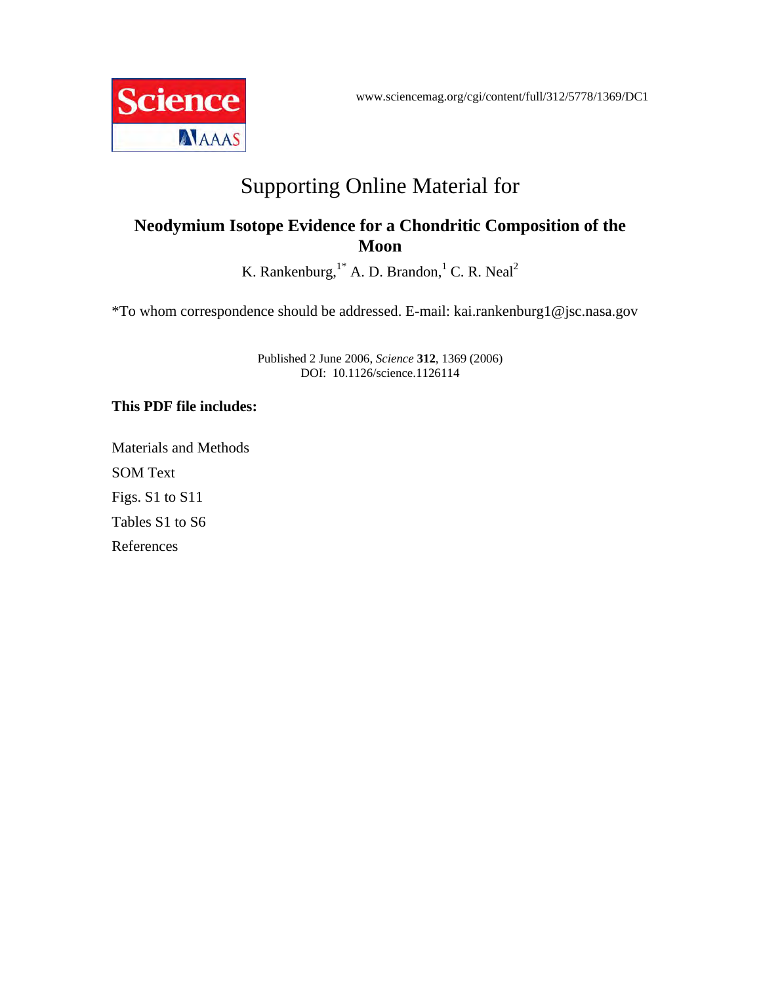www.sciencemag.org/cgi/content/full/312/5778/1369/DC1



# Supporting Online Material for

## **Neodymium Isotope Evidence for a Chondritic Composition of the Moon**

K. Rankenburg,  $^{1*}$  A. D. Brandon, <sup>1</sup> C. R. Neal<sup>2</sup>

\*To whom correspondence should be addressed. E-mail: kai.rankenburg1@jsc.nasa.gov

Published 2 June 2006, *Science* **312**, 1369 (2006) DOI: 10.1126/science.1126114

## **This PDF file includes:**

Materials and Methods SOM Text Figs. S1 to S11 Tables S1 to S6 References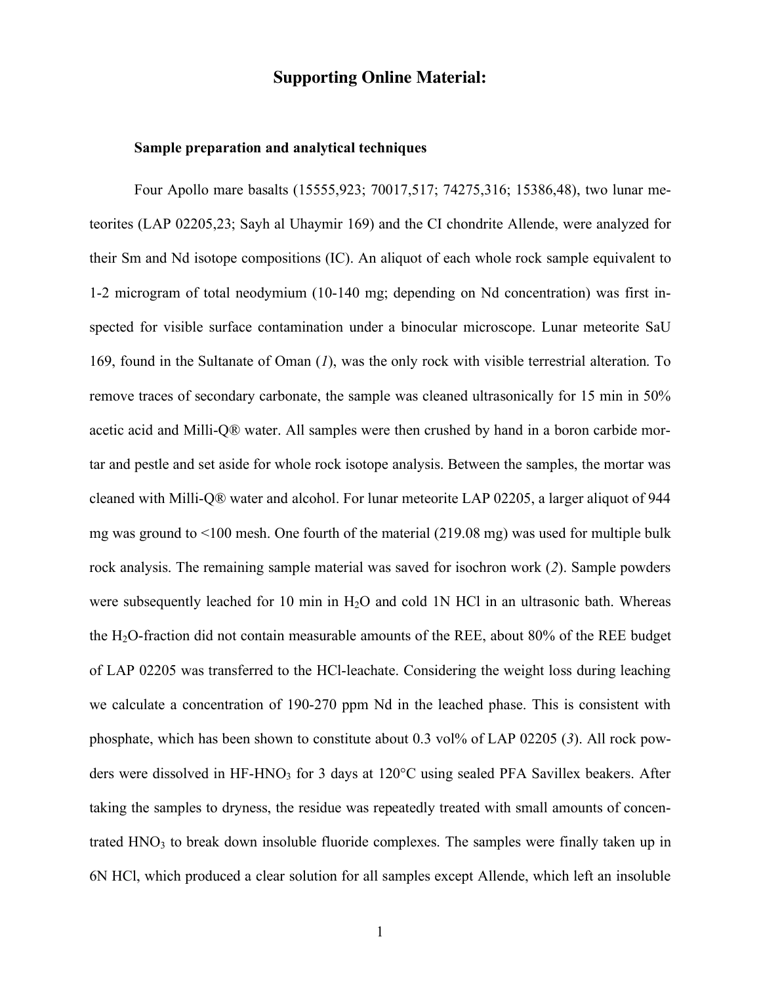## **Supporting Online Material:**

#### **Sample preparation and analytical techniques**

Four Apollo mare basalts (15555,923; 70017,517; 74275,316; 15386,48), two lunar meteorites (LAP 02205,23; Sayh al Uhaymir 169) and the CI chondrite Allende, were analyzed for their Sm and Nd isotope compositions (IC). An aliquot of each whole rock sample equivalent to 1-2 microgram of total neodymium (10-140 mg; depending on Nd concentration) was first inspected for visible surface contamination under a binocular microscope. Lunar meteorite SaU 169, found in the Sultanate of Oman (*1*), was the only rock with visible terrestrial alteration. To remove traces of secondary carbonate, the sample was cleaned ultrasonically for 15 min in 50% acetic acid and Milli-Q® water. All samples were then crushed by hand in a boron carbide mortar and pestle and set aside for whole rock isotope analysis. Between the samples, the mortar was cleaned with Milli-Q® water and alcohol. For lunar meteorite LAP 02205, a larger aliquot of 944 mg was ground to <100 mesh. One fourth of the material (219.08 mg) was used for multiple bulk rock analysis. The remaining sample material was saved for isochron work (*2*). Sample powders were subsequently leached for 10 min in  $H<sub>2</sub>O$  and cold 1N HCl in an ultrasonic bath. Whereas the  $H_2O$ -fraction did not contain measurable amounts of the REE, about 80% of the REE budget of LAP 02205 was transferred to the HCl-leachate. Considering the weight loss during leaching we calculate a concentration of 190-270 ppm Nd in the leached phase. This is consistent with phosphate, which has been shown to constitute about 0.3 vol% of LAP 02205 (*3*). All rock powders were dissolved in HF-HNO<sub>3</sub> for 3 days at 120°C using sealed PFA Savillex beakers. After taking the samples to dryness, the residue was repeatedly treated with small amounts of concentrated  $HNO<sub>3</sub>$  to break down insoluble fluoride complexes. The samples were finally taken up in 6N HCl, which produced a clear solution for all samples except Allende, which left an insoluble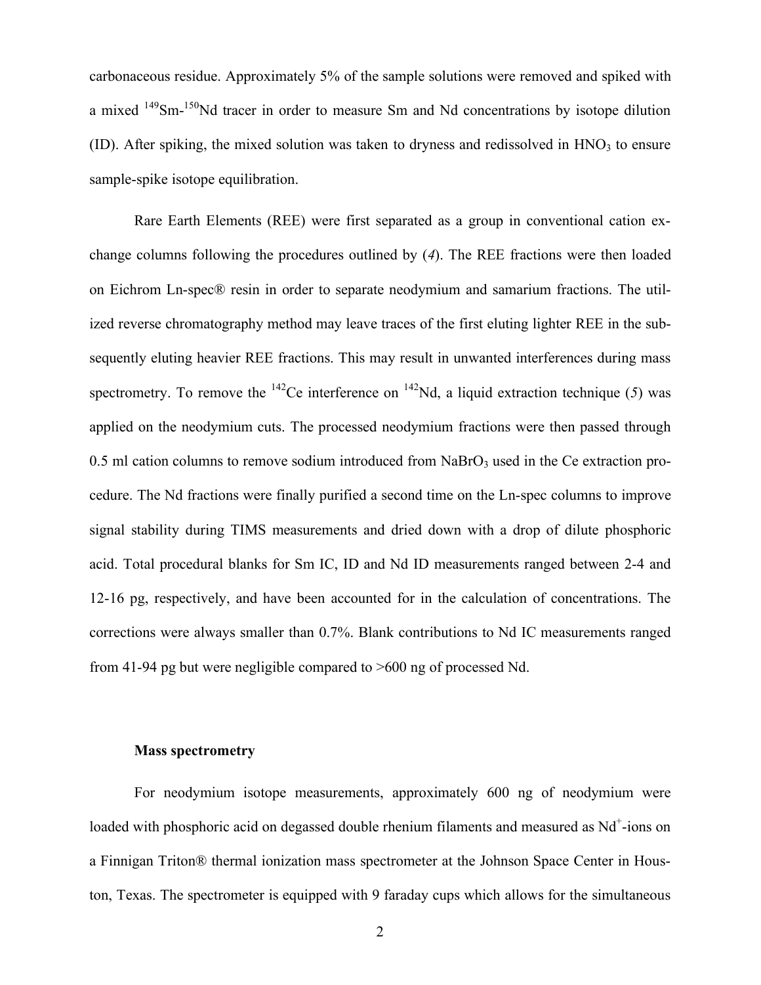carbonaceous residue. Approximately 5% of the sample solutions were removed and spiked with a mixed <sup>149</sup>Sm-<sup>150</sup>Nd tracer in order to measure Sm and Nd concentrations by isotope dilution (ID). After spiking, the mixed solution was taken to dryness and redissolved in  $HNO<sub>3</sub>$  to ensure sample-spike isotope equilibration.

Rare Earth Elements (REE) were first separated as a group in conventional cation exchange columns following the procedures outlined by (*4*). The REE fractions were then loaded on Eichrom Ln-spec® resin in order to separate neodymium and samarium fractions. The utilized reverse chromatography method may leave traces of the first eluting lighter REE in the subsequently eluting heavier REE fractions. This may result in unwanted interferences during mass spectrometry. To remove the  $^{142}$ Ce interference on  $^{142}$ Nd, a liquid extraction technique (5) was applied on the neodymium cuts. The processed neodymium fractions were then passed through  $0.5$  ml cation columns to remove sodium introduced from NaBrO<sub>3</sub> used in the Ce extraction procedure. The Nd fractions were finally purified a second time on the Ln-spec columns to improve signal stability during TIMS measurements and dried down with a drop of dilute phosphoric acid. Total procedural blanks for Sm IC, ID and Nd ID measurements ranged between 2-4 and 12-16 pg, respectively, and have been accounted for in the calculation of concentrations. The corrections were always smaller than 0.7%. Blank contributions to Nd IC measurements ranged from 41-94 pg but were negligible compared to >600 ng of processed Nd.

### **Mass spectrometry**

For neodymium isotope measurements, approximately 600 ng of neodymium were loaded with phosphoric acid on degassed double rhenium filaments and measured as Nd<sup>+</sup>-ions on a Finnigan Triton® thermal ionization mass spectrometer at the Johnson Space Center in Houston, Texas. The spectrometer is equipped with 9 faraday cups which allows for the simultaneous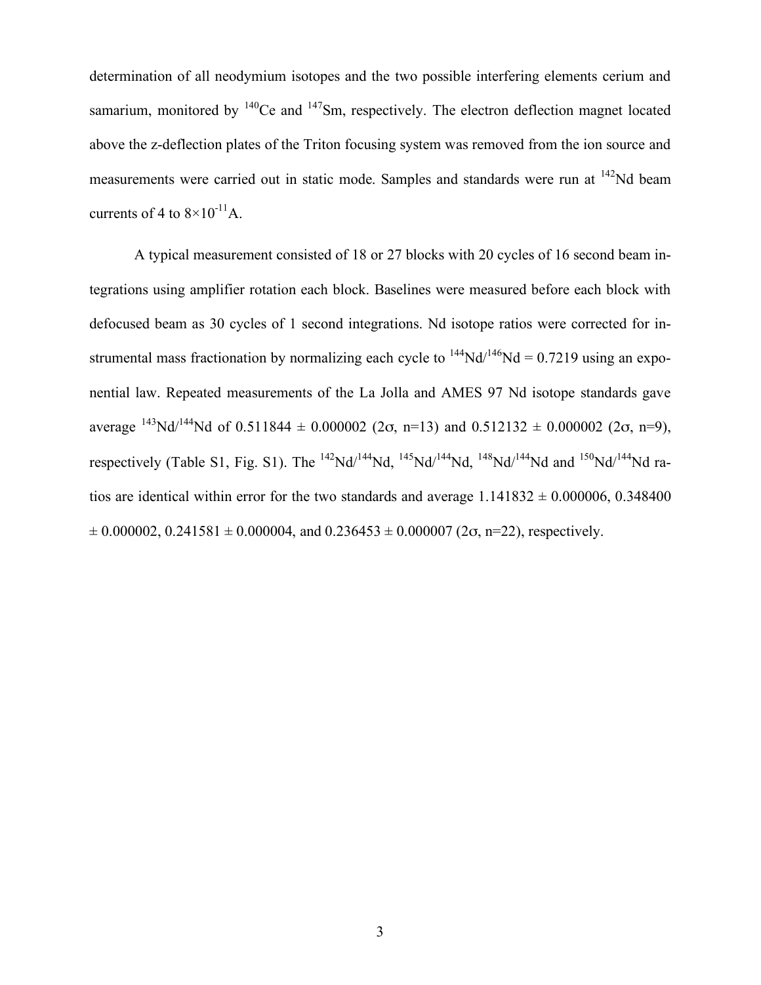determination of all neodymium isotopes and the two possible interfering elements cerium and samarium, monitored by  $140$ Ce and  $147$ Sm, respectively. The electron deflection magnet located above the z-deflection plates of the Triton focusing system was removed from the ion source and measurements were carried out in static mode. Samples and standards were run at 142Nd beam currents of 4 to  $8\times10^{-11}$ A.

A typical measurement consisted of 18 or 27 blocks with 20 cycles of 16 second beam integrations using amplifier rotation each block. Baselines were measured before each block with defocused beam as 30 cycles of 1 second integrations. Nd isotope ratios were corrected for instrumental mass fractionation by normalizing each cycle to  $^{144}Nd^{146}Nd = 0.7219$  using an exponential law. Repeated measurements of the La Jolla and AMES 97 Nd isotope standards gave average  $^{143}$ Nd/<sup>144</sup>Nd of 0.511844  $\pm$  0.000002 (2 $\sigma$ , n=13) and 0.512132  $\pm$  0.000002 (2 $\sigma$ , n=9), respectively (Table S1, Fig. S1). The  $^{142}Nd^{144}Nd$ ,  $^{145}Nd^{144}Nd$ ,  $^{148}Nd^{144}Nd$  and  $^{150}Nd^{144}Nd$  ratios are identical within error for the two standards and average  $1.141832 \pm 0.000006$ , 0.348400  $\pm 0.000002$ ,  $0.241581 \pm 0.000004$ , and  $0.236453 \pm 0.000007$  ( $2\sigma$ , n=22), respectively.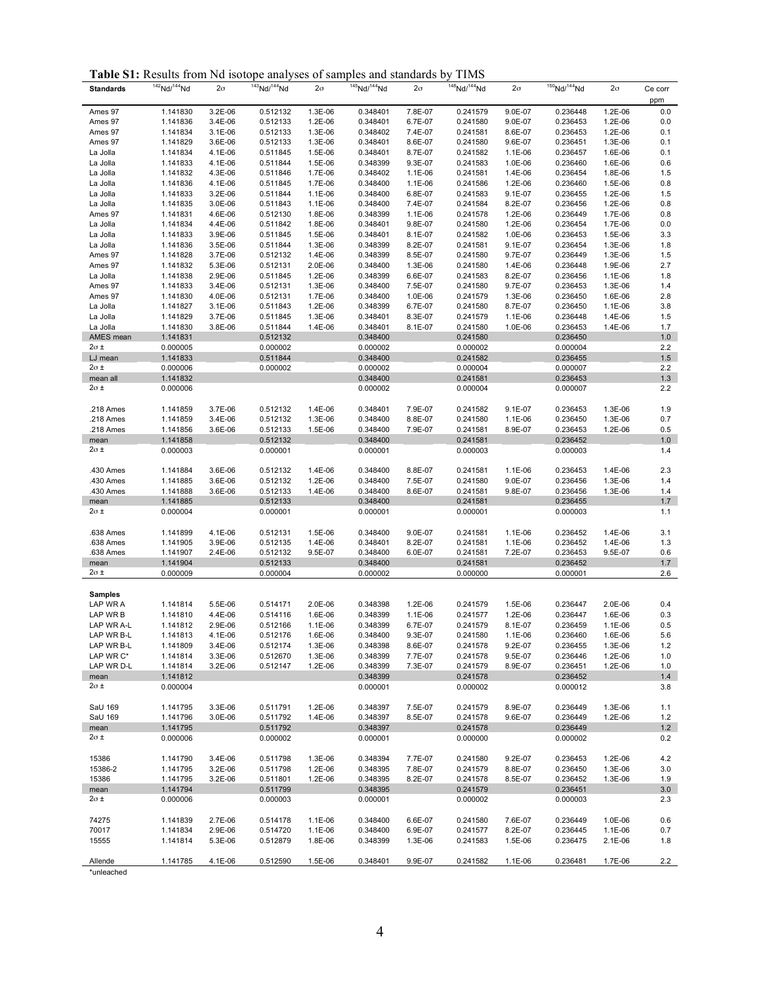**Table S1:** Results from Nd isotope analyses of samples and standards by TIMS

| <b>Standards</b>         | $142$ Nd/ $144$ Nd   | $2\sigma$            | $143$ Nd/ $144$ Nd   | $2\sigma$          | 145 Nd/ <sup>144</sup> Nd | $2\sigma$          | $148$ Nd/ $144$ Nd   | $2\sigma$          | $150$ Nd/ $144$ Nd   | $2\sigma$          | Ce corr    |
|--------------------------|----------------------|----------------------|----------------------|--------------------|---------------------------|--------------------|----------------------|--------------------|----------------------|--------------------|------------|
|                          |                      |                      |                      |                    |                           |                    |                      |                    |                      |                    | ppm        |
| Ames 97                  | 1.141830             | 3.2E-06              | 0.512132             | 1.3E-06            | 0.348401                  | 7.8E-07            | 0.241579             | 9.0E-07            | 0.236448             | 1.2E-06            | 0.0        |
| Ames 97<br>Ames 97       | 1.141836<br>1.141834 | 3.4E-06<br>$3.1E-06$ | 0.512133<br>0.512133 | 1.2E-06<br>1.3E-06 | 0.348401<br>0.348402      | 6.7E-07<br>7.4E-07 | 0.241580<br>0.241581 | 9.0E-07<br>8.6E-07 | 0.236453<br>0.236453 | 1.2E-06<br>1.2E-06 | 0.0<br>0.1 |
| Ames 97                  | 1.141829             | 3.6E-06              | 0.512133             | 1.3E-06            | 0.348401                  | 8.6E-07            | 0.241580             | 9.6E-07            | 0.236451             | 1.3E-06            | 0.1        |
| La Jolla                 | 1.141834             | 4.1E-06              | 0.511845             | 1.5E-06            | 0.348401                  | 8.7E-07            | 0.241582             | 1.1E-06            | 0.236457             | 1.6E-06            | 0.1        |
| La Jolla                 | 1.141833             | 4.1E-06              | 0.511844             | 1.5E-06            | 0.348399                  | 9.3E-07            | 0.241583             | 1.0E-06            | 0.236460             | 1.6E-06            | 0.6        |
| La Jolla                 | 1.141832             | 4.3E-06              | 0.511846             | 1.7E-06            | 0.348402                  | 1.1E-06            | 0.241581             | 1.4E-06            | 0.236454             | 1.8E-06            | 1.5        |
| La Jolla                 | 1.141836             | 4.1E-06              | 0.511845             | 1.7E-06            | 0.348400                  | 1.1E-06            | 0.241586             | 1.2E-06            | 0.236460             | 1.5E-06            | 0.8        |
| La Jolla                 | 1.141833             | 3.2E-06              | 0.511844             | 1.1E-06            | 0.348400                  | 6.8E-07            | 0.241583             | $9.1E - 07$        | 0.236455             | 1.2E-06            | 1.5        |
| La Jolla                 | 1.141835             | 3.0E-06              | 0.511843             | 1.1E-06            | 0.348400                  | 7.4E-07            | 0.241584             | 8.2E-07            | 0.236456             | 1.2E-06            | 0.8        |
| Ames 97                  | 1.141831             | 4.6E-06              | 0.512130             | 1.8E-06            | 0.348399                  | 1.1E-06            | 0.241578             | 1.2E-06            | 0.236449             | 1.7E-06            | 0.8        |
| La Jolla                 | 1.141834             | 4.4E-06              | 0.511842             | 1.8E-06            | 0.348401                  | 9.8E-07            | 0.241580             | 1.2E-06            | 0.236454             | 1.7E-06            | 0.0        |
| La Jolla                 | 1.141833             | 3.9E-06              | 0.511845             | 1.5E-06            | 0.348401                  | 8.1E-07            | 0.241582             | 1.0E-06            | 0.236453             | 1.5E-06            | 3.3        |
| La Jolla                 | 1.141836             | 3.5E-06              | 0.511844             | 1.3E-06            | 0.348399                  | 8.2E-07            | 0.241581             | $9.1E - 07$        | 0.236454             | 1.3E-06            | 1.8        |
| Ames 97                  | 1.141828             | 3.7E-06<br>5.3E-06   | 0.512132<br>0.512131 | 1.4E-06<br>2.0E-06 | 0.348399<br>0.348400      | 8.5E-07<br>1.3E-06 | 0.241580             | 9.7E-07<br>1.4E-06 | 0.236449             | 1.3E-06<br>1.9E-06 | 1.5<br>2.7 |
| Ames 97<br>La Jolla      | 1.141832<br>1.141838 | 2.9E-06              | 0.511845             | 1.2E-06            | 0.348399                  | 6.6E-07            | 0.241580<br>0.241583 | 8.2E-07            | 0.236448<br>0.236456 | 1.1E-06            | 1.8        |
| Ames 97                  | 1.141833             | 3.4E-06              | 0.512131             | 1.3E-06            | 0.348400                  | 7.5E-07            | 0.241580             | 9.7E-07            | 0.236453             | 1.3E-06            | 1.4        |
| Ames 97                  | 1.141830             | 4.0E-06              | 0.512131             | 1.7E-06            | 0.348400                  | 1.0E-06            | 0.241579             | 1.3E-06            | 0.236450             | 1.6E-06            | 2.8        |
| La Jolla                 | 1.141827             | 3.1E-06              | 0.511843             | 1.2E-06            | 0.348399                  | 6.7E-07            | 0.241580             | 8.7E-07            | 0.236450             | 1.1E-06            | 3.8        |
| La Jolla                 | 1.141829             | 3.7E-06              | 0.511845             | 1.3E-06            | 0.348401                  | 8.3E-07            | 0.241579             | 1.1E-06            | 0.236448             | 1.4E-06            | 1.5        |
| La Jolla                 | 1.141830             | 3.8E-06              | 0.511844             | 1.4E-06            | 0.348401                  | 8.1E-07            | 0.241580             | 1.0E-06            | 0.236453             | 1.4E-06            | 1.7        |
| AMES mean                | 1.141831             |                      | 0.512132             |                    | 0.348400                  |                    | 0.241580             |                    | 0.236450             |                    | $1.0$      |
| 2σ ±                     | 0.000005             |                      | 0.000002             |                    | 0.000002                  |                    | 0.000002             |                    | 0.000004             |                    | 2.2        |
| LJ mean                  | 1.141833             |                      | 0.511844             |                    | 0.348400                  |                    | 0.241582             |                    | 0.236455             |                    | 1.5        |
| $2\sigma$ ±              | 0.000006             |                      | 0.000002             |                    | 0.000002                  |                    | 0.000004             |                    | 0.000007             |                    | 2.2        |
| mean all                 | 1.141832             |                      |                      |                    | 0.348400                  |                    | 0.241581             |                    | 0.236453             |                    | 1.3        |
| 2σ ±                     | 0.000006             |                      |                      |                    | 0.000002                  |                    | 0.000004             |                    | 0.000007             |                    | 2.2        |
| .218 Ames                | 1.141859             | 3.7E-06              | 0.512132             | 1.4E-06            | 0.348401                  | 7.9E-07            | 0.241582             | $9.1E - 07$        | 0.236453             | 1.3E-06            | 1.9        |
| .218 Ames                | 1.141859             | 3.4E-06              | 0.512132             | 1.3E-06            | 0.348400                  | 8.8E-07            | 0.241580             | 1.1E-06            | 0.236450             | 1.3E-06            | 0.7        |
| .218 Ames                | 1.141856             | 3.6E-06              | 0.512133             | 1.5E-06            | 0.348400                  | 7.9E-07            | 0.241581             | 8.9E-07            | 0.236453             | 1.2E-06            | 0.5        |
| mean                     | 1.141858             |                      | 0.512132             |                    | 0.348400                  |                    | 0.241581             |                    | 0.236452             |                    | 1.0        |
| 2σ ±                     | 0.000003             |                      | 0.000001             |                    | 0.000001                  |                    | 0.000003             |                    | 0.000003             |                    | 1.4        |
|                          |                      |                      |                      |                    |                           |                    |                      |                    |                      |                    |            |
| .430 Ames                | 1.141884             | 3.6E-06              | 0.512132             | 1.4E-06            | 0.348400                  | 8.8E-07            | 0.241581             | 1.1E-06            | 0.236453             | 1.4E-06            | 2.3        |
| .430 Ames                | 1.141885             | 3.6E-06              | 0.512132             | 1.2E-06            | 0.348400                  | 7.5E-07            | 0.241580             | 9.0E-07            | 0.236456             | 1.3E-06            | 1.4        |
| .430 Ames                | 1.141888             | 3.6E-06              | 0.512133             | 1.4E-06            | 0.348400                  | 8.6E-07            | 0.241581             | 9.8E-07            | 0.236456             | 1.3E-06            | 1.4        |
| mean                     | 1.141885             |                      | 0.512133             |                    | 0.348400                  |                    | 0.241581             |                    | 0.236455             |                    | 1.7        |
| 2σ ±                     | 0.000004             |                      | 0.000001             |                    | 0.000001                  |                    | 0.000001             |                    | 0.000003             |                    | 1.1        |
| .638 Ames                | 1.141899             | 4.1E-06              |                      | 1.5E-06            | 0.348400                  | 9.0E-07            | 0.241581             | 1.1E-06            | 0.236452             | 1.4E-06            | 3.1        |
| .638 Ames                | 1.141905             | 3.9E-06              | 0.512131<br>0.512135 | 1.4E-06            | 0.348401                  | 8.2E-07            | 0.241581             | 1.1E-06            | 0.236452             | 1.4E-06            | 1.3        |
| .638 Ames                | 1.141907             | 2.4E-06              | 0.512132             | 9.5E-07            | 0.348400                  | 6.0E-07            | 0.241581             | 7.2E-07            | 0.236453             | 9.5E-07            | 0.6        |
| mean                     | 1.141904             |                      | 0.512133             |                    | 0.348400                  |                    | 0.241581             |                    | 0.236452             |                    | 1.7        |
| $2\sigma$ ±              | 0.000009             |                      | 0.000004             |                    | 0.000002                  |                    | 0.000000             |                    | 0.000001             |                    | 2.6        |
|                          |                      |                      |                      |                    |                           |                    |                      |                    |                      |                    |            |
| Samples                  |                      |                      |                      |                    |                           |                    |                      |                    |                      |                    |            |
| LAP WR A                 | 1.141814             | 5.5E-06              | 0.514171             | 2.0E-06            | 0.348398                  | 1.2E-06            | 0.241579             | 1.5E-06            | 0.236447             | 2.0E-06            | 0.4        |
| LAP WR B                 | 1.141810             | 4.4E-06              | 0.514116             | 1.6E-06            | 0.348399                  | 1.1E-06            | 0.241577             | 1.2E-06            | 0.236447             | 1.6E-06            | 0.3        |
| LAP WR A-L               | 1.141812             | 2.9E-06              | 0.512166             | 1.1E-06            | 0.348399                  | 6.7E-07            | 0.241579             | 8.1E-07            | 0.236459             | 1.1E-06            | 0.5        |
| LAP WR B-L<br>LAP WR B-L | 1.141813<br>1.141809 | 4.1E-06<br>3.4E-06   | 0.512176<br>0.512174 | 1.6E-06<br>1.3E-06 | 0.348400<br>0.348398      | 9.3E-07<br>8.6E-07 | 0.241580<br>0.241578 | 1.1E-06<br>9.2E-07 | 0.236460<br>0.236455 | 1.6E-06<br>1.3E-06 | 5.6<br>1.2 |
| LAP WR C*                | 1.141814             | 3.3E-06              | 0.512670             | 1.3E-06            | 0.348399                  | 7.7E-07            | 0.241578             | 9.5E-07            | 0.236446             | 1.2E-06            | 1.0        |
| LAP WR D-L               | 1.141814             | 3.2E-06              | 0.512147             | 1.2E-06            | 0.348399                  | 7.3E-07            | 0.241579             | 8.9E-07            | 0.236451             | 1.2E-06            | 1.0        |
| mean                     | 1.141812             |                      |                      |                    | 0.348399                  |                    | 0.241578             |                    | 0.236452             |                    | 1.4        |
| $2\sigma$ ±              | 0.000004             |                      |                      |                    | 0.000001                  |                    | 0.000002             |                    | 0.000012             |                    | 3.8        |
|                          |                      |                      |                      |                    |                           |                    |                      |                    |                      |                    |            |
| SaU 169                  | 1.141795             | 3.3E-06              | 0.511791             | 1.2E-06            | 0.348397                  | 7.5E-07            | 0.241579             | 8.9E-07            | 0.236449             | 1.3E-06            | 1.1        |
| SaU 169                  | 1.141796             | 3.0E-06              | 0.511792             | 1.4E-06            | 0.348397                  | 8.5E-07            | 0.241578             | 9.6E-07            | 0.236449             | 1.2E-06            | $1.2$      |
| mean                     | 1.141795             |                      | 0.511792             |                    | 0.348397                  |                    | 0.241578             |                    | 0.236449             |                    | 1.2        |
| $2\sigma$ ±              | 0.000006             |                      | 0.000002             |                    | 0.000001                  |                    | 0.000000             |                    | 0.000002             |                    | 0.2        |
|                          |                      |                      |                      |                    |                           |                    |                      |                    |                      |                    |            |
| 15386                    | 1.141790             | 3.4E-06              | 0.511798             | 1.3E-06            | 0.348394                  | 7.7E-07            | 0.241580             | 9.2E-07            | 0.236453             | 1.2E-06            | 4.2        |
| 15386-2                  | 1.141795             | 3.2E-06              | 0.511798             | 1.2E-06            | 0.348395                  | 7.8E-07            | 0.241579             | 8.8E-07            | 0.236450             | 1.3E-06            | 3.0        |
| 15386                    | 1.141795             | 3.2E-06              | 0.511801             | 1.2E-06            | 0.348395                  | 8.2E-07            | 0.241578             | 8.5E-07            | 0.236452             | 1.3E-06            | 1.9        |
| mean<br>$2\sigma$ ±      | 1.141794<br>0.000006 |                      | 0.511799<br>0.000003 |                    | 0.348395<br>0.000001      |                    | 0.241579<br>0.000002 |                    | 0.236451<br>0.000003 |                    | 3.0<br>2.3 |
|                          |                      |                      |                      |                    |                           |                    |                      |                    |                      |                    |            |
| 74275                    | 1.141839             | 2.7E-06              | 0.514178             | 1.1E-06            | 0.348400                  | 6.6E-07            | 0.241580             | 7.6E-07            | 0.236449             | 1.0E-06            | 0.6        |
| 70017                    | 1.141834             | 2.9E-06              | 0.514720             | 1.1E-06            | 0.348400                  | 6.9E-07            | 0.241577             | 8.2E-07            | 0.236445             | 1.1E-06            | 0.7        |
| 15555                    | 1.141814             | 5.3E-06              | 0.512879             | 1.8E-06            | 0.348399                  | 1.3E-06            | 0.241583             | 1.5E-06            | 0.236475             | 2.1E-06            | 1.8        |
|                          |                      |                      |                      |                    |                           |                    |                      |                    |                      |                    |            |
| Allende                  | 1.141785             | 4.1E-06              | 0.512590             | 1.5E-06            | 0.348401                  | 9.9E-07            | 0.241582             | 1.1E-06            | 0.236481             | 1.7E-06            | 2.2        |
| *unleached               |                      |                      |                      |                    |                           |                    |                      |                    |                      |                    |            |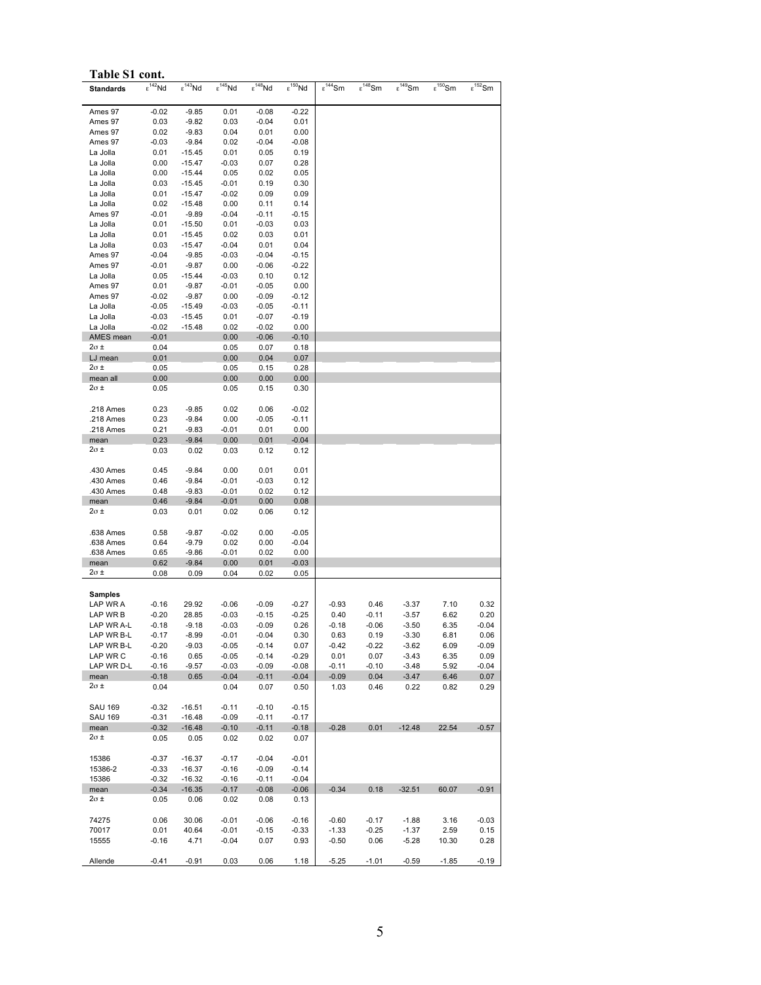| Table S1 cont.         |                     |                    |                     |                                |                     |                     |                     |                        |                     |                     |
|------------------------|---------------------|--------------------|---------------------|--------------------------------|---------------------|---------------------|---------------------|------------------------|---------------------|---------------------|
| <b>Standards</b>       | $\epsilon^{142}$ Nd | $\epsilon^{143}Nd$ | $\epsilon^{145}$ Nd | $\overline{\epsilon}^{148}$ Nd | $\epsilon^{150}$ Nd | $\epsilon^{144}$ Sm | $\epsilon^{148}$ Sm | $\varepsilon^{149}$ Sm | $\epsilon^{150}$ Sm | $\epsilon^{152}$ Sm |
| Ames 97                | -0.02               | $-9.85$            | 0.01                | $-0.08$                        | $-0.22$             |                     |                     |                        |                     |                     |
| Ames 97                | 0.03                | $-9.82$            | 0.03                | $-0.04$                        | 0.01                |                     |                     |                        |                     |                     |
| Ames 97                | 0.02                | $-9.83$            | 0.04                | 0.01                           | 0.00                |                     |                     |                        |                     |                     |
| Ames 97                | -0.03               | $-9.84$            | 0.02                | -0.04                          | $-0.08$             |                     |                     |                        |                     |                     |
| La Jolla               | 0.01                | -15.45             | 0.01                | 0.05                           | 0.19                |                     |                     |                        |                     |                     |
| La Jolla               | 0.00                | -15.47             | $-0.03$             | 0.07                           | 0.28                |                     |                     |                        |                     |                     |
| La Jolla<br>La Jolla   | 0.00<br>0.03        | -15.44<br>-15.45   | 0.05<br>$-0.01$     | 0.02<br>0.19                   | 0.05<br>0.30        |                     |                     |                        |                     |                     |
| La Jolla               | 0.01                | -15.47             | $-0.02$             | 0.09                           | 0.09                |                     |                     |                        |                     |                     |
| La Jolla               | 0.02                | $-15.48$           | 0.00                | 0.11                           | 0.14                |                     |                     |                        |                     |                     |
| Ames 97                | -0.01               | $-9.89$            | $-0.04$             | -0.11                          | $-0.15$             |                     |                     |                        |                     |                     |
| La Jolla               | 0.01                | $-15.50$           | 0.01                | -0.03                          | 0.03                |                     |                     |                        |                     |                     |
| La Jolla               | 0.01                | -15.45             | 0.02                | 0.03                           | 0.01                |                     |                     |                        |                     |                     |
| La Jolla               | 0.03                | -15.47             | $-0.04$             | 0.01                           | 0.04                |                     |                     |                        |                     |                     |
| Ames 97<br>Ames 97     | -0.04<br>-0.01      | $-9.85$<br>$-9.87$ | $-0.03$<br>0.00     | -0.04<br>-0.06                 | $-0.15$<br>$-0.22$  |                     |                     |                        |                     |                     |
| La Jolla               | 0.05                | -15.44             | $-0.03$             | 0.10                           | 0.12                |                     |                     |                        |                     |                     |
| Ames 97                | 0.01                | $-9.87$            | $-0.01$             | $-0.05$                        | 0.00                |                     |                     |                        |                     |                     |
| Ames 97                | -0.02               | $-9.87$            | 0.00                | -0.09                          | $-0.12$             |                     |                     |                        |                     |                     |
| La Jolla               | $-0.05$             | $-15.49$           | $-0.03$             | $-0.05$                        | $-0.11$             |                     |                     |                        |                     |                     |
| La Jolla               | $-0.03$             | -15.45             | 0.01                | $-0.07$                        | $-0.19$             |                     |                     |                        |                     |                     |
| La Jolla               | $-0.02$             | -15.48             | 0.02                | -0.02                          | 0.00                |                     |                     |                        |                     |                     |
| AMES mean<br>2σ ±      | $-0.01$             |                    | 0.00                | $-0.06$                        | $-0.10$             |                     |                     |                        |                     |                     |
| LJ mean                | 0.04<br>0.01        |                    | 0.05<br>0.00        | 0.07<br>0.04                   | 0.18<br>0.07        |                     |                     |                        |                     |                     |
| $2\sigma$ ±            | 0.05                |                    | 0.05                | 0.15                           | 0.28                |                     |                     |                        |                     |                     |
| mean all               | 0.00                |                    | 0.00                | 0.00                           | 0.00                |                     |                     |                        |                     |                     |
| 2σ ±                   | 0.05                |                    | 0.05                | 0.15                           | 0.30                |                     |                     |                        |                     |                     |
|                        |                     |                    |                     |                                |                     |                     |                     |                        |                     |                     |
| .218 Ames              | 0.23                | $-9.85$            | 0.02                | 0.06                           | $-0.02$             |                     |                     |                        |                     |                     |
| .218 Ames              | 0.23                | -9.84              | 0.00                | -0.05                          | $-0.11$             |                     |                     |                        |                     |                     |
| .218 Ames              | 0.21                | $-9.83$            | $-0.01$             | 0.01                           | 0.00                |                     |                     |                        |                     |                     |
| mean<br>2σ ±           | 0.23<br>0.03        | $-9.84$<br>0.02    | 0.00<br>0.03        | 0.01<br>0.12                   | $-0.04$<br>0.12     |                     |                     |                        |                     |                     |
|                        |                     |                    |                     |                                |                     |                     |                     |                        |                     |                     |
| .430 Ames              | 0.45                | -9.84              | 0.00                | 0.01                           | 0.01                |                     |                     |                        |                     |                     |
| .430 Ames              | 0.46                | -9.84              | $-0.01$             | $-0.03$                        | 0.12                |                     |                     |                        |                     |                     |
| .430 Ames              | 0.48                | $-9.83$            | $-0.01$             | 0.02                           | 0.12                |                     |                     |                        |                     |                     |
| mean                   | 0.46                | $-9.84$            | $-0.01$             | 0.00                           | 0.08                |                     |                     |                        |                     |                     |
| 2σ ±                   | 0.03                | 0.01               | 0.02                | 0.06                           | 0.12                |                     |                     |                        |                     |                     |
| .638 Ames              | 0.58                | -9.87              | $-0.02$             | 0.00                           | $-0.05$             |                     |                     |                        |                     |                     |
| .638 Ames              | 0.64                | -9.79              | 0.02                | 0.00                           | $-0.04$             |                     |                     |                        |                     |                     |
| .638 Ames              | 0.65                | -9.86              | $-0.01$             | 0.02                           | 0.00                |                     |                     |                        |                     |                     |
| mean                   | 0.62                | $-9.84$            | 0.00                | 0.01                           | $-0.03$             |                     |                     |                        |                     |                     |
| 2σ ±                   | 0.08                | 0.09               | 0.04                | 0.02                           | 0.05                |                     |                     |                        |                     |                     |
| Samples                |                     |                    |                     |                                |                     |                     |                     |                        |                     |                     |
| LAP WR A               | $-0.16$             | 29.92              | $-0.06$             | $-0.09$                        | $-0.27$             | $-0.93$             | 0.46                | $-3.37$                | 7.10                | 0.32                |
| LAP WR B               | $-0.20$             | 28.85              | $-0.03$             | -0.15                          | $-0.25$             | 0.40                | $-0.11$             | $-3.57$                | 6.62                | 0.20                |
| LAP WR A-L             | $-0.18$             | $-9.18$            | $-0.03$             | $-0.09$                        | 0.26                | $-0.18$             | $-0.06$             | $-3.50$                | 6.35                | $-0.04$             |
| LAP WR B-L             | $-0.17$             | $-8.99$            | $-0.01$             | $-0.04$                        | 0.30                | 0.63                | 0.19                | $-3.30$                | 6.81                | 0.06                |
| LAP WR B-L             | $-0.20$             | $-9.03$            | $-0.05$             | $-0.14$                        | 0.07                | $-0.42$             | $-0.22$             | $-3.62$                | 6.09                | $-0.09$             |
| LAP WR C<br>LAP WR D-L | $-0.16$<br>$-0.16$  | 0.65<br>$-9.57$    | $-0.05$<br>$-0.03$  | $-0.14$<br>$-0.09$             | $-0.29$<br>$-0.08$  | 0.01<br>$-0.11$     | 0.07<br>$-0.10$     | $-3.43$<br>$-3.48$     | 6.35<br>5.92        | 0.09<br>$-0.04$     |
| mean                   | $-0.18$             | 0.65               | $-0.04$             | $-0.11$                        | $-0.04$             | $-0.09$             | 0.04                | $-3.47$                | 6.46                | 0.07                |
| 2σ ±                   | 0.04                |                    | 0.04                | 0.07                           | 0.50                | 1.03                | 0.46                | 0.22                   | 0.82                | 0.29                |
|                        |                     |                    |                     |                                |                     |                     |                     |                        |                     |                     |
| <b>SAU 169</b>         | $-0.32$             | $-16.51$           | $-0.11$             | $-0.10$                        | $-0.15$             |                     |                     |                        |                     |                     |
| <b>SAU 169</b>         | $-0.31$             | $-16.48$           | $-0.09$             | $-0.11$                        | $-0.17$             |                     |                     |                        |                     |                     |
| mean<br>2σ ±           | $-0.32$             | $-16.48$           | $-0.10$             | $-0.11$                        | $-0.18$             | $-0.28$             | 0.01                | $-12.48$               | 22.54               | $-0.57$             |
|                        | 0.05                | 0.05               | 0.02                | 0.02                           | 0.07                |                     |                     |                        |                     |                     |
| 15386                  | $-0.37$             | $-16.37$           | $-0.17$             | $-0.04$                        | $-0.01$             |                     |                     |                        |                     |                     |
| 15386-2                | $-0.33$             | $-16.37$           | $-0.16$             | $-0.09$                        | $-0.14$             |                     |                     |                        |                     |                     |
| 15386                  | $-0.32$             | $-16.32$           | $-0.16$             | $-0.11$                        | $-0.04$             |                     |                     |                        |                     |                     |
| mean                   | $-0.34$             | $-16.35$           | $-0.17$             | $-0.08$                        | $-0.06$             | $-0.34$             | 0.18                | $-32.51$               | 60.07               | $-0.91$             |
| $2\sigma$ ±            | 0.05                | 0.06               | 0.02                | 0.08                           | 0.13                |                     |                     |                        |                     |                     |
|                        | 0.06                | 30.06              | $-0.01$             | $-0.06$                        |                     | $-0.60$             | $-0.17$             |                        |                     | $-0.03$             |
| 74275<br>70017         | 0.01                | 40.64              | $-0.01$             | $-0.15$                        | $-0.16$<br>$-0.33$  | $-1.33$             | $-0.25$             | $-1.88$<br>$-1.37$     | 3.16<br>2.59        | 0.15                |
| 15555                  | $-0.16$             | 4.71               | $-0.04$             | 0.07                           | 0.93                | $-0.50$             | 0.06                | $-5.28$                | 10.30               | 0.28                |
|                        |                     |                    |                     |                                |                     |                     |                     |                        |                     |                     |
| Allende                | $-0.41$             | $-0.91$            | 0.03                | 0.06                           | 1.18                | $-5.25$             | $-1.01$             | $-0.59$                | $-1.85$             | $-0.19$             |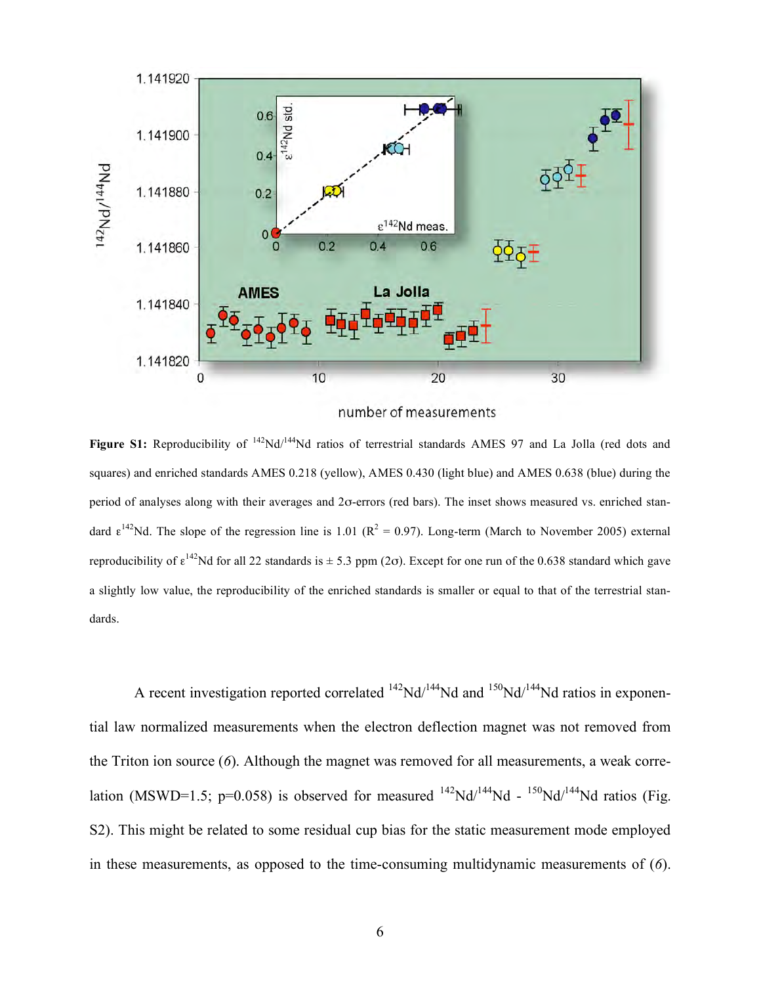

number of measurements

Figure S1: Reproducibility of <sup>142</sup>Nd/<sup>144</sup>Nd ratios of terrestrial standards AMES 97 and La Jolla (red dots and squares) and enriched standards AMES 0.218 (yellow), AMES 0.430 (light blue) and AMES 0.638 (blue) during the period of analyses along with their averages and 2σ-errors (red bars). The inset shows measured vs. enriched standard  $\epsilon^{142}$ Nd. The slope of the regression line is 1.01 ( $R^2 = 0.97$ ). Long-term (March to November 2005) external reproducibility of  $\epsilon^{142}$ Nd for all 22 standards is  $\pm$  5.3 ppm (2 $\sigma$ ). Except for one run of the 0.638 standard which gave a slightly low value, the reproducibility of the enriched standards is smaller or equal to that of the terrestrial standards.

A recent investigation reported correlated  $^{142}Nd^{144}Nd$  and  $^{150}Nd^{144}Nd$  ratios in exponential law normalized measurements when the electron deflection magnet was not removed from the Triton ion source (*6*). Although the magnet was removed for all measurements, a weak correlation (MSWD=1.5; p=0.058) is observed for measured  $^{142}Nd^{144}Nd - ^{150}Nd^{144}Nd$  ratios (Fig. S2). This might be related to some residual cup bias for the static measurement mode employed in these measurements, as opposed to the time-consuming multidynamic measurements of (*6*).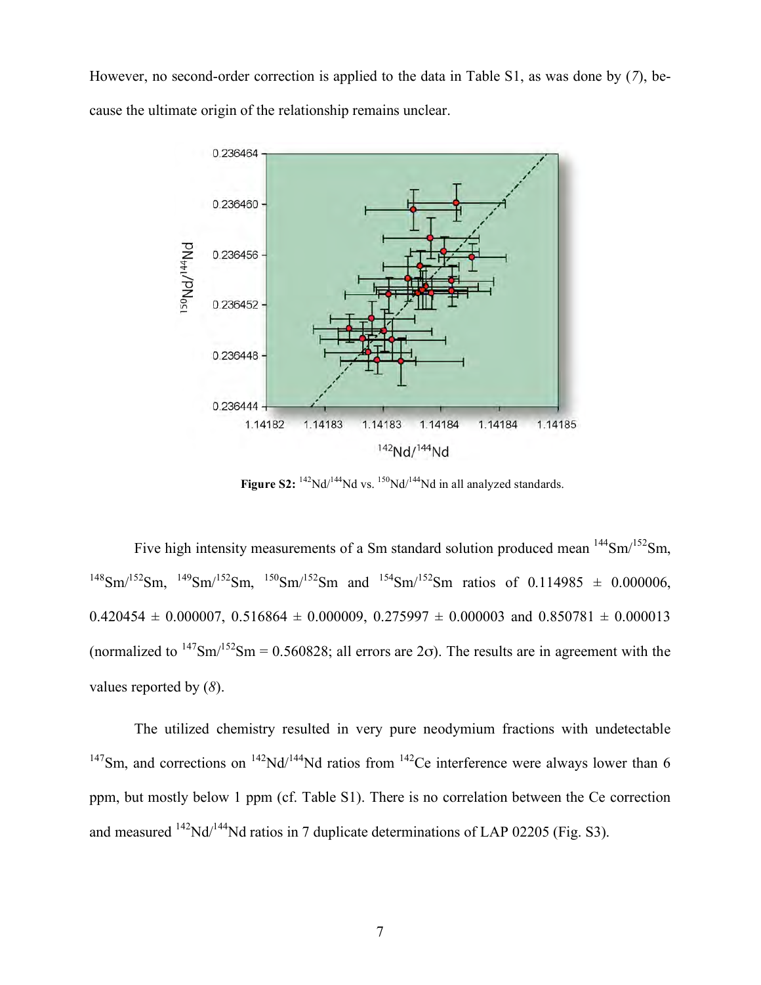However, no second-order correction is applied to the data in Table S1, as was done by (*7*), because the ultimate origin of the relationship remains unclear.



**Figure S2:**  $^{142}Nd/^{144}Nd$  vs.  $^{150}Nd/^{144}Nd$  in all analyzed standards.

Five high intensity measurements of a Sm standard solution produced mean  $144$ Sm/ $152$ Sm,  $^{148}Sm^{152}Sm$ ,  $^{149}Sm^{152}Sm$ ,  $^{150}Sm^{152}Sm$  and  $^{154}Sm^{152}Sm$  ratios of 0.114985  $\pm$  0.000006,  $0.420454 \pm 0.000007$ ,  $0.516864 \pm 0.000009$ ,  $0.275997 \pm 0.000003$  and  $0.850781 \pm 0.000013$ (normalized to  $147\text{Sm}/152\text{Sm} = 0.560828$ ; all errors are 2 $\sigma$ ). The results are in agreement with the values reported by (*8*).

The utilized chemistry resulted in very pure neodymium fractions with undetectable <sup>147</sup>Sm, and corrections on <sup>142</sup>Nd/<sup>144</sup>Nd ratios from <sup>142</sup>Ce interference were always lower than 6 ppm, but mostly below 1 ppm (cf. Table S1). There is no correlation between the Ce correction and measured  $^{142}$ Nd/ $^{144}$ Nd ratios in 7 duplicate determinations of LAP 02205 (Fig. S3).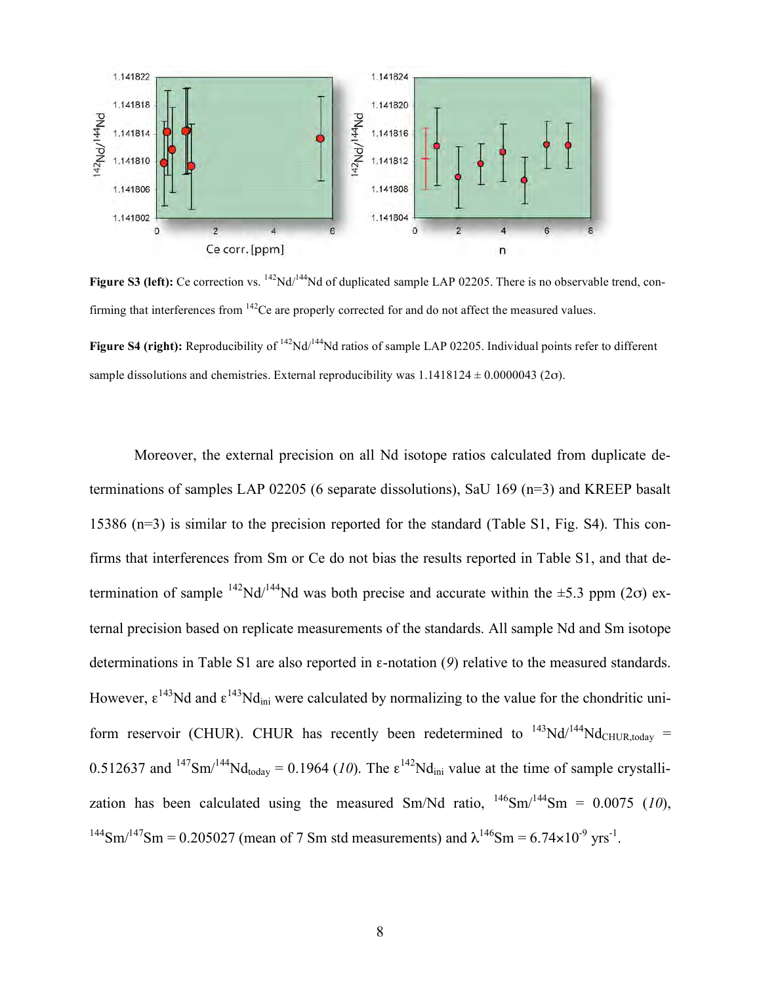

**Figure S3 (left):** Ce correction vs. <sup>142</sup>Nd/<sup>144</sup>Nd of duplicated sample LAP 02205. There is no observable trend, confirming that interferences from <sup>142</sup>Ce are properly corrected for and do not affect the measured values.

**Figure S4 (right):** Reproducibility of <sup>142</sup>Nd/<sup>144</sup>Nd ratios of sample LAP 02205. Individual points refer to different sample dissolutions and chemistries. External reproducibility was  $1.1418124 \pm 0.0000043$  (2 $\sigma$ ).

Moreover, the external precision on all Nd isotope ratios calculated from duplicate determinations of samples LAP 02205 (6 separate dissolutions), SaU 169 (n=3) and KREEP basalt 15386 (n=3) is similar to the precision reported for the standard (Table S1, Fig. S4). This confirms that interferences from Sm or Ce do not bias the results reported in Table S1, and that determination of sample  $^{142}Nd/^{144}Nd$  was both precise and accurate within the  $\pm 5.3$  ppm (2 $\sigma$ ) external precision based on replicate measurements of the standards. All sample Nd and Sm isotope determinations in Table S1 are also reported in ε-notation (*9*) relative to the measured standards. However,  $\epsilon^{143}$ Nd and  $\epsilon^{143}$ Nd<sub>ini</sub> were calculated by normalizing to the value for the chondritic uniform reservoir (CHUR). CHUR has recently been redetermined to  $^{143}Nd/^{144}Nd$ <sub>CHUR today</sub> = 0.512637 and  $^{147}Sm^{144}Nd_{\text{today}} = 0.1964$  (10). The  $\epsilon^{142}Nd_{\text{ini}}$  value at the time of sample crystallization has been calculated using the measured Sm/Nd ratio,  $^{146}$ Sm/<sup>144</sup>Sm = 0.0075 (10), <sup>144</sup>Sm/<sup>147</sup>Sm = 0.205027 (mean of 7 Sm std measurements) and  $\lambda^{146}$ Sm = 6.74×10<sup>-9</sup> yrs<sup>-1</sup>.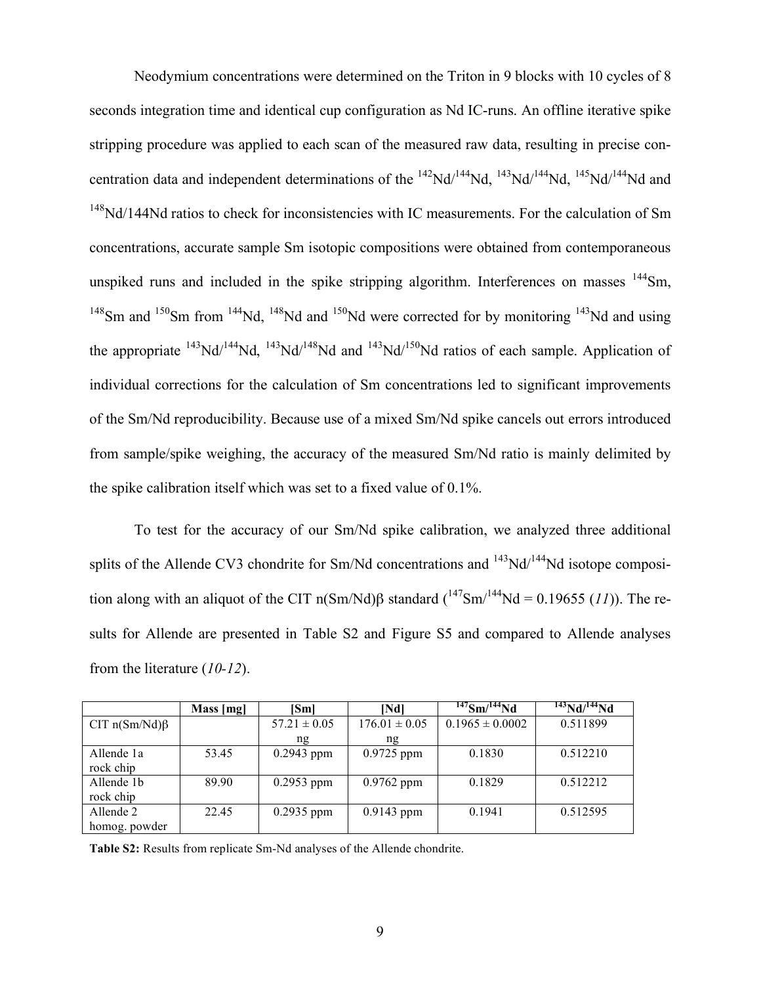Neodymium concentrations were determined on the Triton in 9 blocks with 10 cycles of 8 seconds integration time and identical cup configuration as Nd IC-runs. An offline iterative spike stripping procedure was applied to each scan of the measured raw data, resulting in precise concentration data and independent determinations of the  $^{142}Nd^{144}Nd$ ,  $^{143}Nd^{144}Nd$ ,  $^{145}Nd^{144}Nd$  and <sup>148</sup>Nd/144Nd ratios to check for inconsistencies with IC measurements. For the calculation of Sm concentrations, accurate sample Sm isotopic compositions were obtained from contemporaneous unspiked runs and included in the spike stripping algorithm. Interferences on masses  $144$ Sm,  $148$ Sm and  $150$ Sm from  $144$ Nd,  $148$ Nd and  $150$ Nd were corrected for by monitoring  $143$ Nd and using the appropriate  $^{143}$ Nd/ $^{144}$ Nd,  $^{143}$ Nd/ $^{148}$ Nd and  $^{143}$ Nd/ $^{150}$ Nd ratios of each sample. Application of individual corrections for the calculation of Sm concentrations led to significant improvements of the Sm/Nd reproducibility. Because use of a mixed Sm/Nd spike cancels out errors introduced from sample/spike weighing, the accuracy of the measured Sm/Nd ratio is mainly delimited by the spike calibration itself which was set to a fixed value of 0.1%.

To test for the accuracy of our Sm/Nd spike calibration, we analyzed three additional splits of the Allende CV3 chondrite for Sm/Nd concentrations and  $^{143}$ Nd/ $^{144}$ Nd isotope composition along with an aliquot of the CIT n(Sm/Nd)β standard  $({}^{147}Sm/{}^{144}Nd = 0.19655 (11))$ . The results for Allende are presented in Table S2 and Figure S5 and compared to Allende analyses from the literature (*10-12*).

|                     | Mass [mg] | [Sm]             | [Nd]              | $147$ Sm $\sqrt{144}$ Nd | $\frac{143}{143}Nd^{144}Nd$ |
|---------------------|-----------|------------------|-------------------|--------------------------|-----------------------------|
| CIT $n(Sm/Nd)\beta$ |           | $57.21 \pm 0.05$ | $176.01 \pm 0.05$ | $0.1965 \pm 0.0002$      | 0.511899                    |
|                     |           | ng               | ng                |                          |                             |
| Allende 1a          | 53.45     | $0.2943$ ppm     | $0.9725$ ppm      | 0.1830                   | 0.512210                    |
| rock chip           |           |                  |                   |                          |                             |
| Allende 1b          | 89.90     | $0.2953$ ppm     | $0.9762$ ppm      | 0.1829                   | 0.512212                    |
| rock chip           |           |                  |                   |                          |                             |
| Allende 2           | 22.45     | $0.2935$ ppm     | $0.9143$ ppm      | 0.1941                   | 0.512595                    |
| homog. powder       |           |                  |                   |                          |                             |

**Table S2:** Results from replicate Sm-Nd analyses of the Allende chondrite.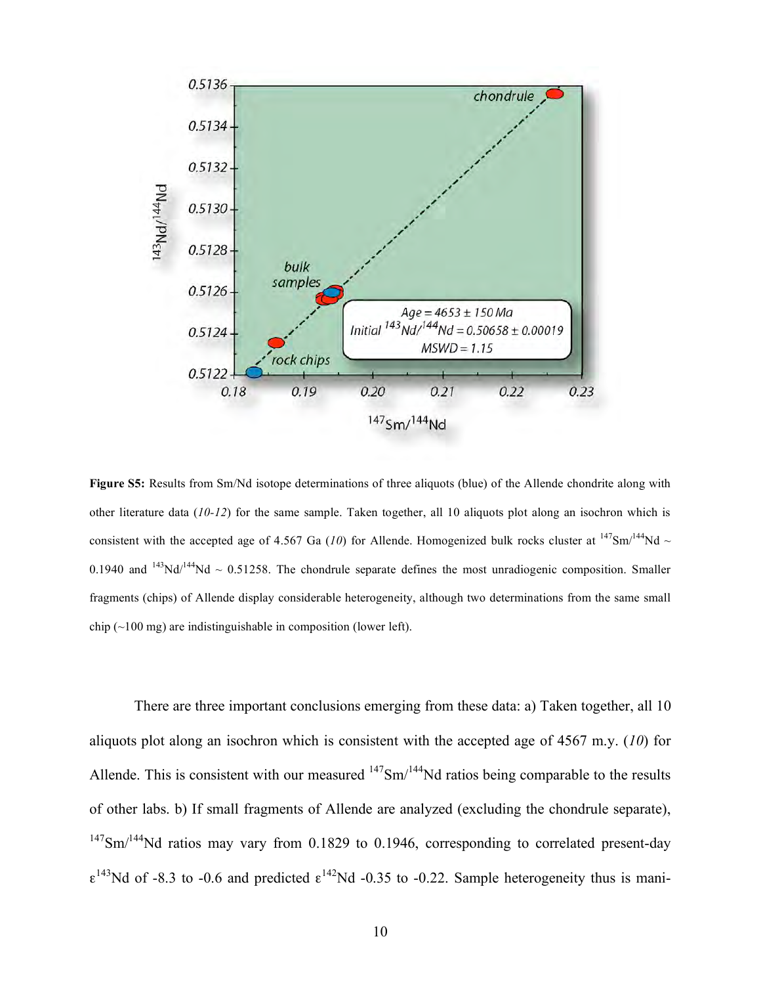

**Figure S5:** Results from Sm/Nd isotope determinations of three aliquots (blue) of the Allende chondrite along with other literature data (*10-12*) for the same sample. Taken together, all 10 aliquots plot along an isochron which is consistent with the accepted age of 4.567 Ga (*10*) for Allende. Homogenized bulk rocks cluster at  $^{147}Sm/^{144}Nd \sim$ 0.1940 and  $^{143}$ Nd/ $^{144}$ Nd ~ 0.51258. The chondrule separate defines the most unradiogenic composition. Smaller fragments (chips) of Allende display considerable heterogeneity, although two determinations from the same small chip  $(\sim 100 \text{ mg})$  are indistinguishable in composition (lower left).

There are three important conclusions emerging from these data: a) Taken together, all 10 aliquots plot along an isochron which is consistent with the accepted age of 4567 m.y. (*10*) for Allende. This is consistent with our measured  $147$ Sm/ $144$ Nd ratios being comparable to the results of other labs. b) If small fragments of Allende are analyzed (excluding the chondrule separate),  $147$ Sm/ $144$ Nd ratios may vary from 0.1829 to 0.1946, corresponding to correlated present-day  $\epsilon^{143}$ Nd of -8.3 to -0.6 and predicted  $\epsilon^{142}$ Nd -0.35 to -0.22. Sample heterogeneity thus is mani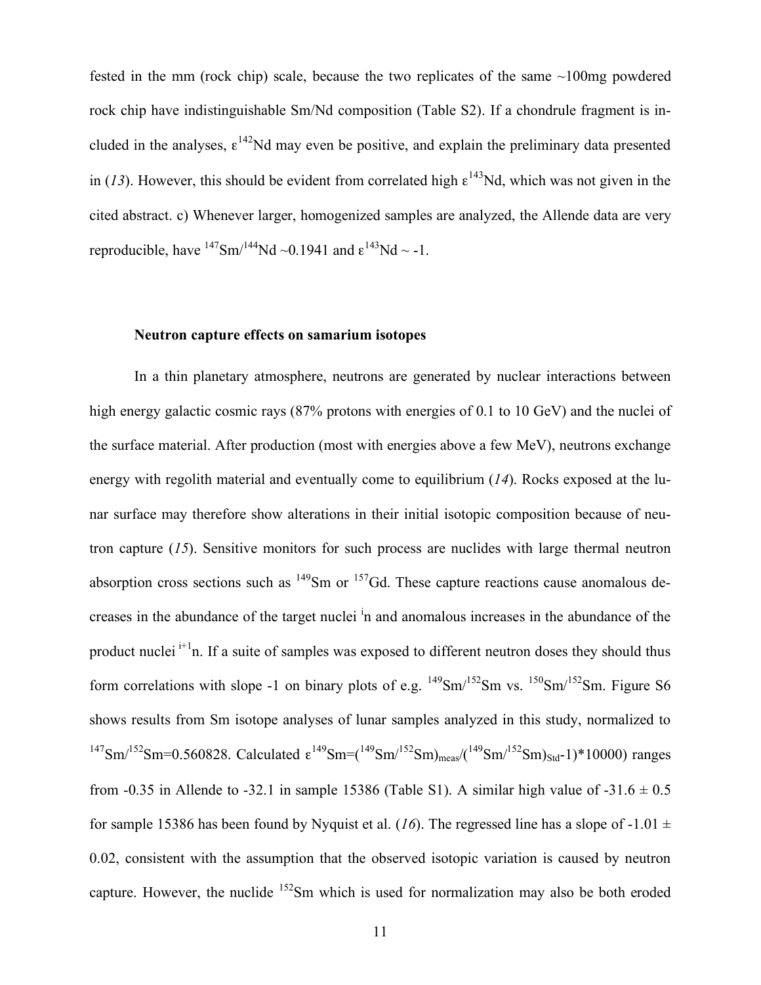fested in the mm (rock chip) scale, because the two replicates of the same ~100mg powdered rock chip have indistinguishable Sm/Nd composition (Table S2). If a chondrule fragment is included in the analyses,  $\epsilon^{142}$ Nd may even be positive, and explain the preliminary data presented in (13). However, this should be evident from correlated high  $\epsilon^{143}$ Nd, which was not given in the cited abstract. c) Whenever larger, homogenized samples are analyzed, the Allende data are very reproducible, have  $^{147}$ Sm/ $^{144}$ Nd ~0.1941 and  $\epsilon^{143}$ Nd ~ -1.

## **Neutron capture effects on samarium isotopes**

In a thin planetary atmosphere, neutrons are generated by nuclear interactions between high energy galactic cosmic rays (87% protons with energies of 0.1 to 10 GeV) and the nuclei of the surface material. After production (most with energies above a few MeV), neutrons exchange energy with regolith material and eventually come to equilibrium (*14*). Rocks exposed at the lunar surface may therefore show alterations in their initial isotopic composition because of neutron capture (*15*). Sensitive monitors for such process are nuclides with large thermal neutron absorption cross sections such as  $^{149}$ Sm or  $^{157}$ Gd. These capture reactions cause anomalous decreases in the abundance of the target nuclei <sup>i</sup>n and anomalous increases in the abundance of the product nuclei  $i<sup>+1</sup>$ n. If a suite of samples was exposed to different neutron doses they should thus form correlations with slope -1 on binary plots of e.g.  $^{149}Sm^{152}Sm$  vs.  $^{150}Sm^{152}Sm$ . Figure S6 shows results from Sm isotope analyses of lunar samples analyzed in this study, normalized to <sup>147</sup>Sm/<sup>152</sup>Sm=0.560828. Calculated ε<sup>149</sup>Sm=(<sup>149</sup>Sm/<sup>152</sup>Sm)<sub>meas</sub>/(<sup>149</sup>Sm/<sup>152</sup>Sm)<sub>std</sub>-1)\*10000) ranges from -0.35 in Allende to -32.1 in sample 15386 (Table S1). A similar high value of -31.6  $\pm$  0.5 for sample 15386 has been found by Nyquist et al. (16). The regressed line has a slope of -1.01  $\pm$ 0.02, consistent with the assumption that the observed isotopic variation is caused by neutron capture. However, the nuclide <sup>152</sup>Sm which is used for normalization may also be both eroded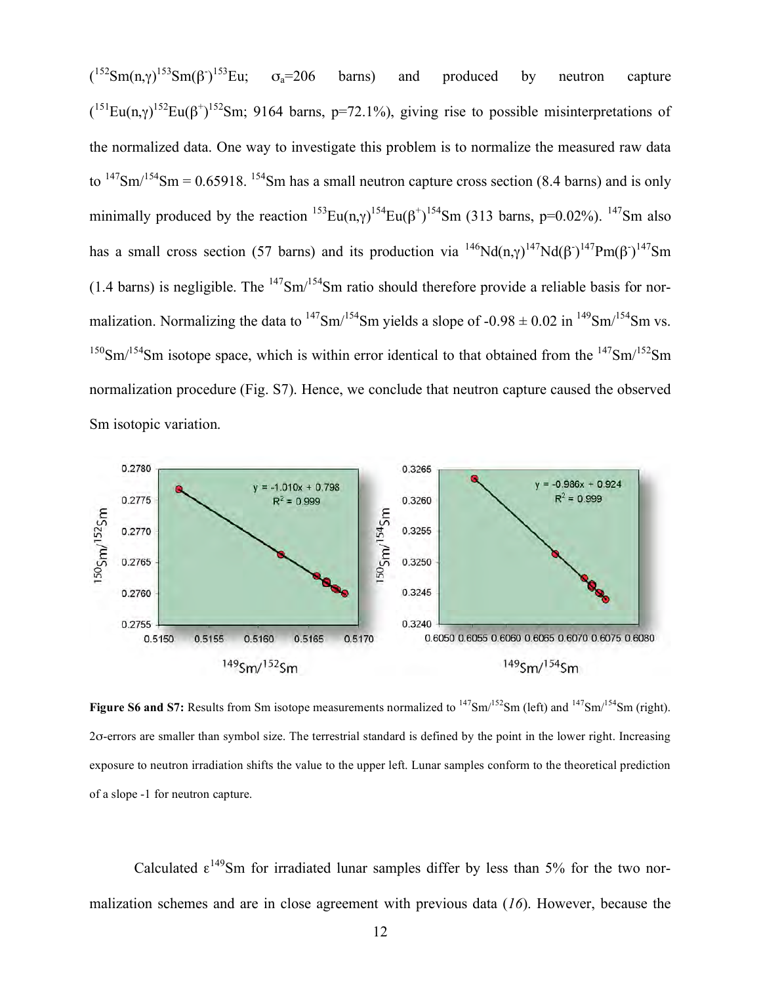$({}^{152}Sm(n,γ)^{153}Sm(β))$ <sup>153</sup>Eu;  $\sigma_a = 206$  barns) and produced by neutron capture  $(151$ Eu(n, $\gamma$ )<sup>152</sup>Eu( $\beta$ <sup>+</sup>)<sup>152</sup>Sm; 9164 barns, p=72.1%), giving rise to possible misinterpretations of the normalized data. One way to investigate this problem is to normalize the measured raw data to  $147\text{Sm}/154\text{Sm} = 0.65918$ .  $154\text{Sm}$  has a small neutron capture cross section (8.4 barns) and is only minimally produced by the reaction  $^{153}Eu(n,\gamma)^{154}Eu(\beta^+)^{154}Sm$  (313 barns, p=0.02%).  $^{147}Sm$  also has a small cross section (57 barns) and its production via  $^{146}Nd(n,\gamma)^{147}Nd(\beta^2)^{147}Pm(\beta^2)^{147}Sm$ (1.4 barns) is negligible. The  $147\text{Sm}/154\text{Sm}$  ratio should therefore provide a reliable basis for normalization. Normalizing the data to  $^{147}Sm^{154}Sm$  yields a slope of -0.98  $\pm$  0.02 in  $^{149}Sm^{154}Sm$  vs.  $150$ Sm/ $154$ Sm isotope space, which is within error identical to that obtained from the  $147$ Sm/ $152$ Sm normalization procedure (Fig. S7). Hence, we conclude that neutron capture caused the observed Sm isotopic variation.



**Figure S6 and S7:** Results from Sm isotope measurements normalized to <sup>147</sup>Sm/<sup>152</sup>Sm (left) and <sup>147</sup>Sm/<sup>154</sup>Sm (right). 2σ-errors are smaller than symbol size. The terrestrial standard is defined by the point in the lower right. Increasing exposure to neutron irradiation shifts the value to the upper left. Lunar samples conform to the theoretical prediction of a slope -1 for neutron capture.

Calculated  $\epsilon^{149}$ Sm for irradiated lunar samples differ by less than 5% for the two normalization schemes and are in close agreement with previous data (*16*). However, because the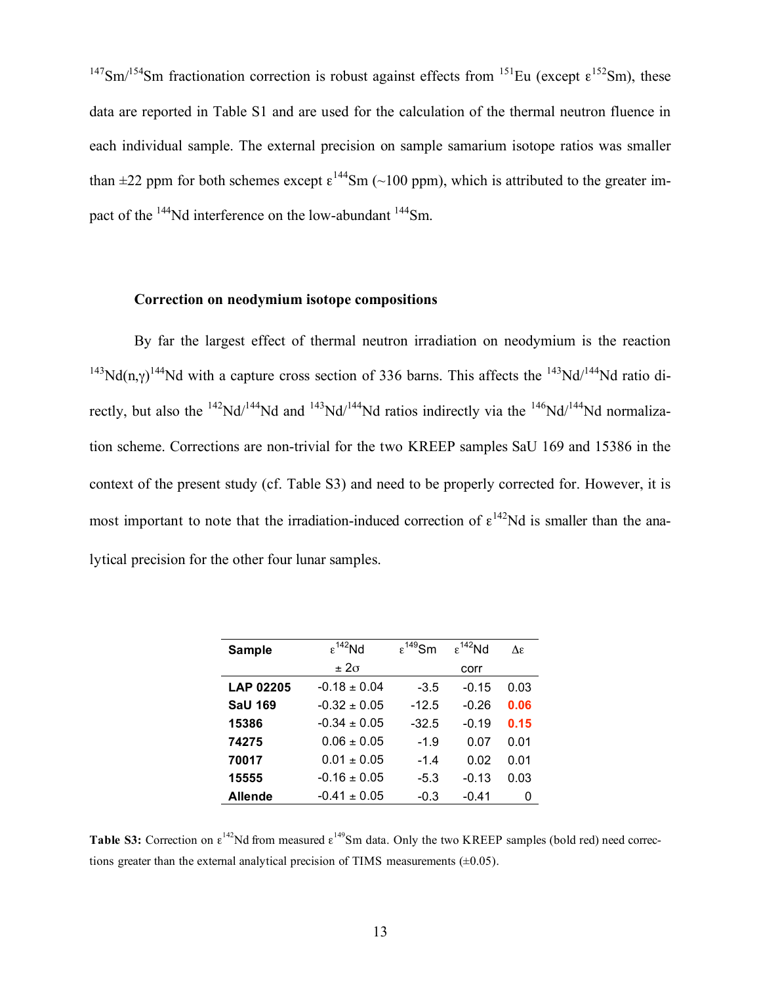$147$ Sm/<sup>154</sup>Sm fractionation correction is robust against effects from  $151$ Eu (except  $\epsilon^{152}$ Sm), these data are reported in Table S1 and are used for the calculation of the thermal neutron fluence in each individual sample. The external precision on sample samarium isotope ratios was smaller than  $\pm 22$  ppm for both schemes except  $\varepsilon^{144}$ Sm (~100 ppm), which is attributed to the greater impact of the <sup>144</sup>Nd interference on the low-abundant <sup>144</sup>Sm.

### **Correction on neodymium isotope compositions**

By far the largest effect of thermal neutron irradiation on neodymium is the reaction <sup>143</sup>Nd(n, $\gamma$ )<sup>144</sup>Nd with a capture cross section of 336 barns. This affects the <sup>143</sup>Nd/<sup>144</sup>Nd ratio directly, but also the <sup>142</sup>Nd/<sup>144</sup>Nd and <sup>143</sup>Nd/<sup>144</sup>Nd ratios indirectly via the <sup>146</sup>Nd/<sup>144</sup>Nd normalization scheme. Corrections are non-trivial for the two KREEP samples SaU 169 and 15386 in the context of the present study (cf. Table S3) and need to be properly corrected for. However, it is most important to note that the irradiation-induced correction of  $\epsilon^{142}$ Nd is smaller than the analytical precision for the other four lunar samples.

| <b>Sample</b>    | $\epsilon^{142}$ Nd | $\epsilon^{149}$ Sm | $\epsilon^{142}$ Nd | $\Lambda \varepsilon$ |
|------------------|---------------------|---------------------|---------------------|-----------------------|
|                  | $\pm 2\sigma$       |                     | corr                |                       |
| <b>LAP 02205</b> | $-0.18 \pm 0.04$    | $-3.5$              | $-0.15$             | 0.03                  |
| <b>SaU 169</b>   | $-0.32 \pm 0.05$    | $-12.5$             | $-0.26$             | 0.06                  |
| 15386            | $-0.34 \pm 0.05$    | $-32.5$             | $-0.19$             | 0.15                  |
| 74275            | $0.06 \pm 0.05$     | $-1.9$              | 0.07                | 0.01                  |
| 70017            | $0.01 \pm 0.05$     | $-1.4$              | 0.02                | 0.01                  |
| 15555            | $-0.16 \pm 0.05$    | $-5.3$              | $-0.13$             | 0.03                  |
| <b>Allende</b>   | $-0.41 \pm 0.05$    | $-0.3$              | $-0.41$             | O                     |

**Table S3:** Correction on  $\epsilon^{142}$ Nd from measured  $\epsilon^{149}$ Sm data. Only the two KREEP samples (bold red) need corrections greater than the external analytical precision of TIMS measurements  $(\pm 0.05)$ .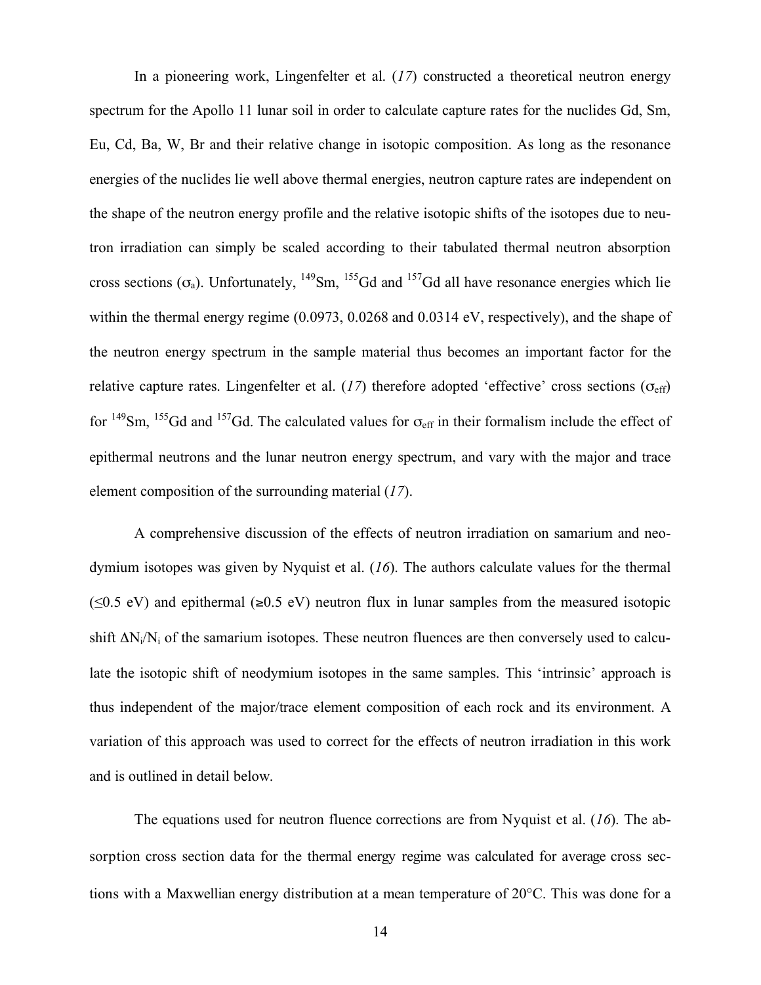In a pioneering work, Lingenfelter et al. (*17*) constructed a theoretical neutron energy spectrum for the Apollo 11 lunar soil in order to calculate capture rates for the nuclides Gd, Sm, Eu, Cd, Ba, W, Br and their relative change in isotopic composition. As long as the resonance energies of the nuclides lie well above thermal energies, neutron capture rates are independent on the shape of the neutron energy profile and the relative isotopic shifts of the isotopes due to neutron irradiation can simply be scaled according to their tabulated thermal neutron absorption cross sections  $(\sigma_a)$ . Unfortunately,  $^{149}Sm$ ,  $^{155}Gd$  and  $^{157}Gd$  all have resonance energies which lie within the thermal energy regime (0.0973, 0.0268 and 0.0314 eV, respectively), and the shape of the neutron energy spectrum in the sample material thus becomes an important factor for the relative capture rates. Lingenfelter et al.  $(17)$  therefore adopted 'effective' cross sections  $(\sigma_{\text{eff}})$ for  $^{149}$ Sm,  $^{155}$ Gd and  $^{157}$ Gd. The calculated values for  $\sigma_{\text{eff}}$  in their formalism include the effect of epithermal neutrons and the lunar neutron energy spectrum, and vary with the major and trace element composition of the surrounding material (*17*).

A comprehensive discussion of the effects of neutron irradiation on samarium and neodymium isotopes was given by Nyquist et al. (*16*). The authors calculate values for the thermal  $(\leq 0.5 \text{ eV})$  and epithermal ( $\geq 0.5 \text{ eV}$ ) neutron flux in lunar samples from the measured isotopic shift  $\Delta N_i/N_i$  of the samarium isotopes. These neutron fluences are then conversely used to calculate the isotopic shift of neodymium isotopes in the same samples. This 'intrinsic' approach is thus independent of the major/trace element composition of each rock and its environment. A variation of this approach was used to correct for the effects of neutron irradiation in this work and is outlined in detail below.

The equations used for neutron fluence corrections are from Nyquist et al. (*16*). The absorption cross section data for the thermal energy regime was calculated for average cross sections with a Maxwellian energy distribution at a mean temperature of 20°C. This was done for a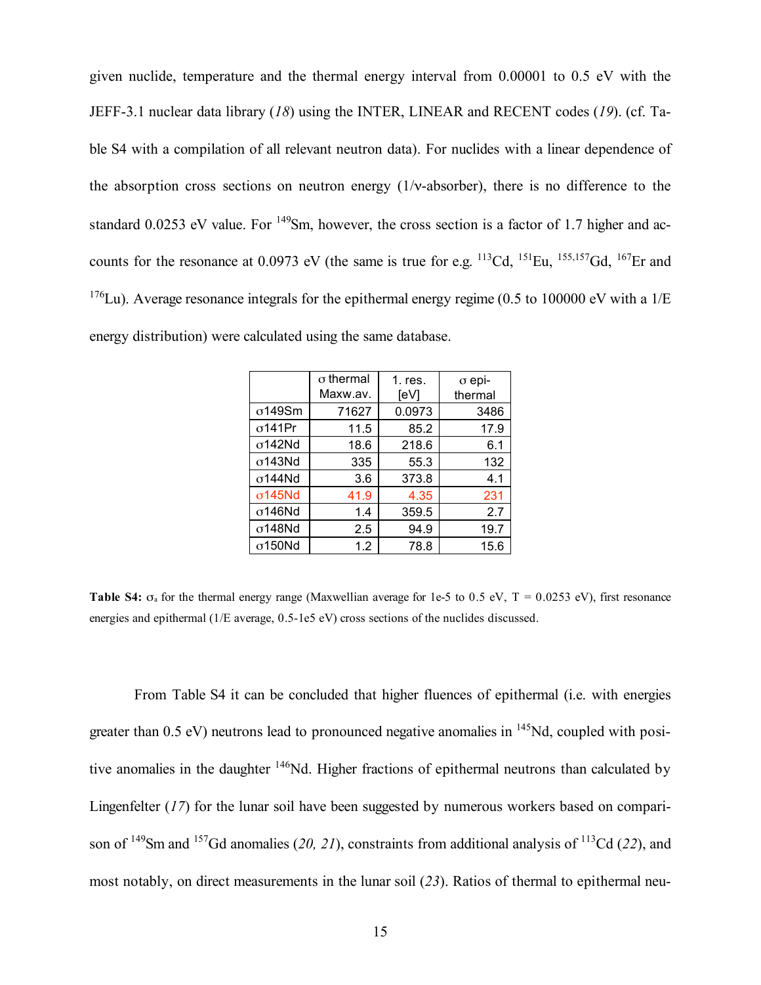given nuclide, temperature and the thermal energy interval from 0.00001 to 0.5 eV with the JEFF-3.1 nuclear data library (*18*) using the INTER, LINEAR and RECENT codes (*19*). (cf. Table S4 with a compilation of all relevant neutron data). For nuclides with a linear dependence of the absorption cross sections on neutron energy  $(1/\nu$ -absorber), there is no difference to the standard 0.0253 eV value. For <sup>149</sup>Sm, however, the cross section is a factor of 1.7 higher and accounts for the resonance at 0.0973 eV (the same is true for e.g.  $^{113}Cd$ ,  $^{151}Eu$ ,  $^{155,157}Gd$ ,  $^{167}Er$  and  $176$ Lu). Average resonance integrals for the epithermal energy regime (0.5 to 100000 eV with a 1/E energy distribution) were calculated using the same database.

|                | $\sigma$ thermal<br>Maxw.av. | $1.$ res.<br>[eV] | $\sigma$ epi-<br>thermal |
|----------------|------------------------------|-------------------|--------------------------|
| $\sigma$ 149Sm | 71627                        | 0.0973            | 3486                     |
| $\sigma$ 141Pr | 11.5                         | 85.2              | 17.9                     |
| $\sigma$ 142Nd | 18.6                         | 218.6             | 6.1                      |
| $\sigma$ 143Nd | 335                          | 55.3              | 132                      |
| $\sigma$ 144Nd | 3.6                          | 373.8             | 4.1                      |
| $\sigma$ 145Nd | 41.9                         | 4.35              | 231                      |
| $\sigma$ 146Nd | 1.4                          | 359.5             | 2.7                      |
| $\sigma$ 148Nd | 2.5                          | 94.9              | 19.7                     |
| $\sigma$ 150Nd | 1.2                          | 78.8              | 15.6                     |

**Table S4:**  $\sigma_a$  for the thermal energy range (Maxwellian average for 1e-5 to 0.5 eV,  $T = 0.0253$  eV), first resonance energies and epithermal (1/E average, 0.5-1e5 eV) cross sections of the nuclides discussed.

From Table S4 it can be concluded that higher fluences of epithermal (i.e. with energies greater than  $0.5$  eV) neutrons lead to pronounced negative anomalies in  $\frac{145}{14}Nd$ , coupled with positive anomalies in the daughter 146Nd. Higher fractions of epithermal neutrons than calculated by Lingenfelter (*17*) for the lunar soil have been suggested by numerous workers based on comparison of 149Sm and 157Gd anomalies (*20, 21*), constraints from additional analysis of 113Cd (*22*), and most notably, on direct measurements in the lunar soil (*23*). Ratios of thermal to epithermal neu-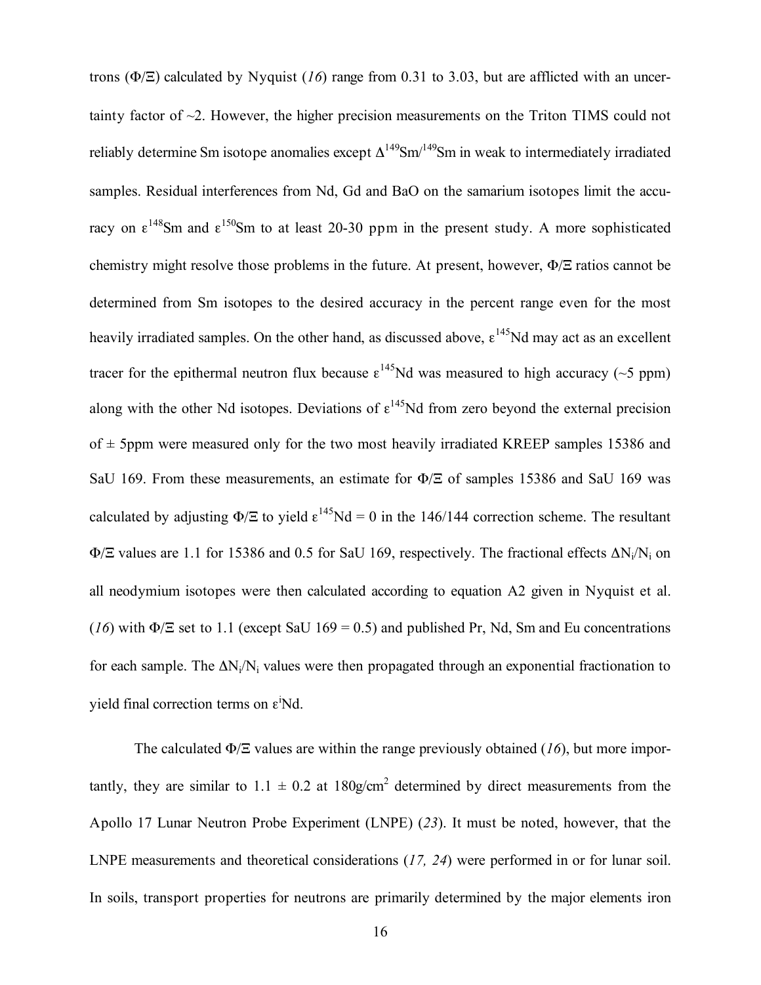trons (Φ/Ξ) calculated by Nyquist (*16*) range from 0.31 to 3.03, but are afflicted with an uncertainty factor of ~2. However, the higher precision measurements on the Triton TIMS could not reliably determine Sm isotope anomalies except  $\Delta^{149}$ Sm<sup> $/149$ </sup>Sm in weak to intermediately irradiated samples. Residual interferences from Nd, Gd and BaO on the samarium isotopes limit the accuracy on  $\epsilon^{148}$ Sm and  $\epsilon^{150}$ Sm to at least 20-30 ppm in the present study. A more sophisticated chemistry might resolve those problems in the future. At present, however, Φ/Ξ ratios cannot be determined from Sm isotopes to the desired accuracy in the percent range even for the most heavily irradiated samples. On the other hand, as discussed above,  $\epsilon^{145}$ Nd may act as an excellent tracer for the epithermal neutron flux because  $\epsilon^{145}$ Nd was measured to high accuracy (~5 ppm) along with the other Nd isotopes. Deviations of  $\epsilon^{145}$ Nd from zero beyond the external precision of  $\pm$  5ppm were measured only for the two most heavily irradiated KREEP samples 15386 and SaU 169. From these measurements, an estimate for Φ/Ξ of samples 15386 and SaU 169 was calculated by adjusting  $\Phi$ / $\Xi$  to yield  $\epsilon^{145}$ Nd = 0 in the 146/144 correction scheme. The resultant  $\Phi$ /Ξ values are 1.1 for 15386 and 0.5 for SaU 169, respectively. The fractional effects  $\Delta N_i/N_i$  on all neodymium isotopes were then calculated according to equation A2 given in Nyquist et al. (*16*) with  $\Phi$ /Ξ set to 1.1 (except SaU 169 = 0.5) and published Pr, Nd, Sm and Eu concentrations for each sample. The  $\Delta N_i/N_i$  values were then propagated through an exponential fractionation to yield final correction terms on  $\varepsilon$ <sup>i</sup>Nd.

The calculated Φ/Ξ values are within the range previously obtained (*16*), but more importantly, they are similar to  $1.1 \pm 0.2$  at  $180$ g/cm<sup>2</sup> determined by direct measurements from the Apollo 17 Lunar Neutron Probe Experiment (LNPE) (*23*). It must be noted, however, that the LNPE measurements and theoretical considerations (*17, 24*) were performed in or for lunar soil. In soils, transport properties for neutrons are primarily determined by the major elements iron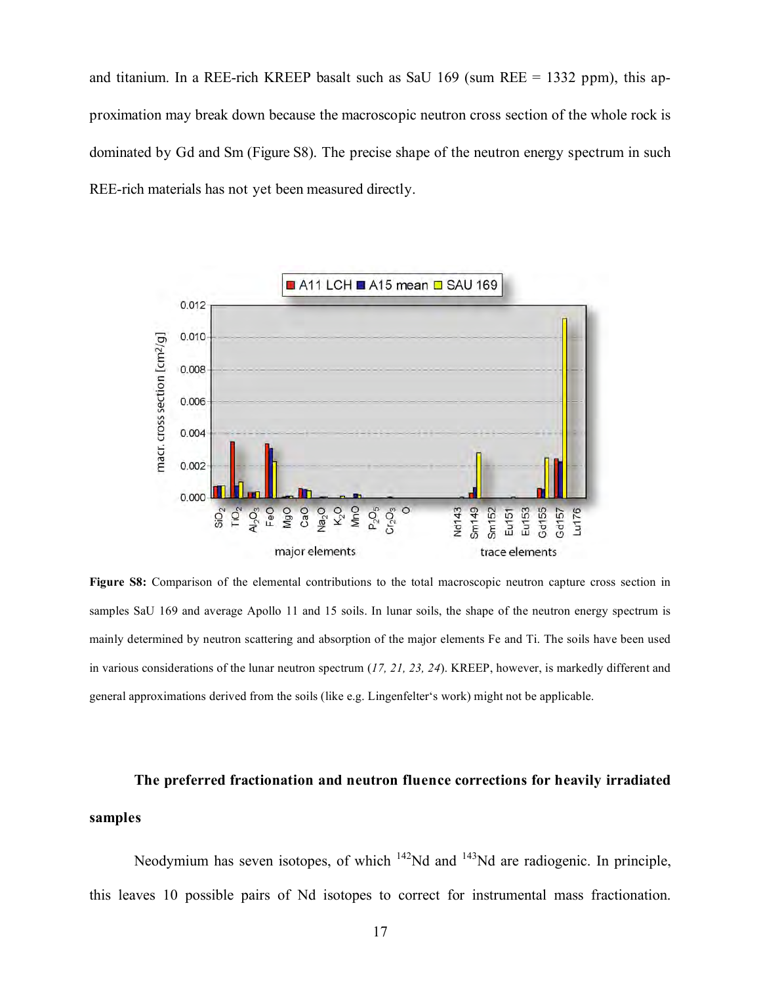and titanium. In a REE-rich KREEP basalt such as SaU 169 (sum REE  $= 1332$  ppm), this approximation may break down because the macroscopic neutron cross section of the whole rock is dominated by Gd and Sm (Figure S8). The precise shape of the neutron energy spectrum in such REE-rich materials has not yet been measured directly.



**Figure S8:** Comparison of the elemental contributions to the total macroscopic neutron capture cross section in samples SaU 169 and average Apollo 11 and 15 soils. In lunar soils, the shape of the neutron energy spectrum is mainly determined by neutron scattering and absorption of the major elements Fe and Ti. The soils have been used in various considerations of the lunar neutron spectrum (*17, 21, 23, 24*). KREEP, however, is markedly different and general approximations derived from the soils (like e.g. Lingenfelter's work) might not be applicable.

**The preferred fractionation and neutron fluence corrections for heavily irradiated samples**

Neodymium has seven isotopes, of which  $142$ Nd and  $143$ Nd are radiogenic. In principle, this leaves 10 possible pairs of Nd isotopes to correct for instrumental mass fractionation.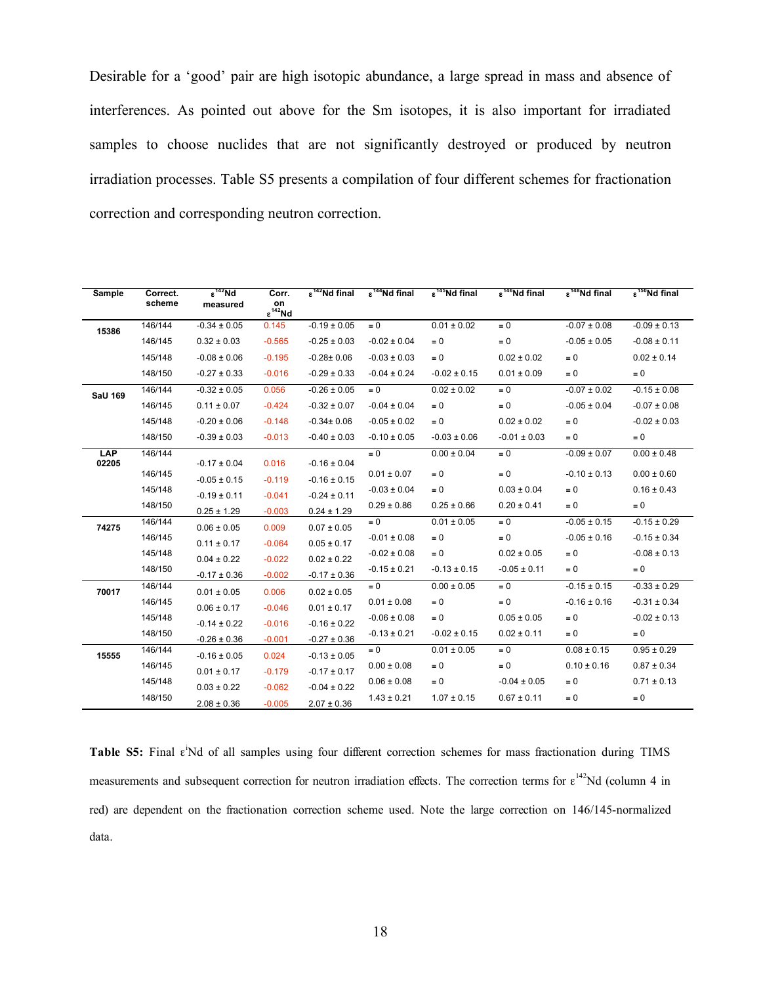Desirable for a 'good' pair are high isotopic abundance, a large spread in mass and absence of interferences. As pointed out above for the Sm isotopes, it is also important for irradiated samples to choose nuclides that are not significantly destroyed or produced by neutron irradiation processes. Table S5 presents a compilation of four different schemes for fractionation correction and corresponding neutron correction.

| Sample         | Correct.<br>scheme | $\epsilon^{142}$ Nd<br>measured    | Corr.<br>on<br>$\epsilon^{142}$ Nd | $\epsilon^{142}$ Nd final           | $\epsilon^{144}$ Nd final | $\epsilon^{145}$ Nd final | $\epsilon^{146}$ Nd final | $\epsilon^{148}$ Nd final | $\epsilon^{150}$ Nd final |
|----------------|--------------------|------------------------------------|------------------------------------|-------------------------------------|---------------------------|---------------------------|---------------------------|---------------------------|---------------------------|
| 15386          | 146/144            | $-0.34 \pm 0.05$                   | 0.145                              | $-0.19 \pm 0.05$                    | $= 0$                     | $0.01 \pm 0.02$           | $= 0$                     | $-0.07 \pm 0.08$          | $-0.09 \pm 0.13$          |
|                | 146/145            | $0.32 \pm 0.03$                    | $-0.565$                           | $-0.25 \pm 0.03$                    | $-0.02 \pm 0.04$          | $= 0$                     | $= 0$                     | $-0.05 \pm 0.05$          | $-0.08 \pm 0.11$          |
|                | 145/148            | $-0.08 \pm 0.06$                   | $-0.195$                           | $-0.28 \pm 0.06$                    | $-0.03 \pm 0.03$          | $= 0$                     | $0.02 \pm 0.02$           | $= 0$                     | $0.02 \pm 0.14$           |
|                | 148/150            | $-0.27 \pm 0.33$                   | $-0.016$                           | $-0.29 \pm 0.33$                    | $-0.04 \pm 0.24$          | $-0.02 \pm 0.15$          | $0.01 \pm 0.09$           | $= 0$                     | $= 0$                     |
| <b>SaU 169</b> | 146/144            | $-0.32 \pm 0.05$                   | 0.056                              | $-0.26 \pm 0.05$                    | $= 0$                     | $0.02 \pm 0.02$           | $\equiv 0$                | $-0.07 \pm 0.02$          | $-0.15 \pm 0.08$          |
|                | 146/145            | $0.11 \pm 0.07$                    | $-0.424$                           | $-0.32 \pm 0.07$                    | $-0.04 \pm 0.04$          | $= 0$                     | $= 0$                     | $-0.05 \pm 0.04$          | $-0.07 \pm 0.08$          |
|                | 145/148            | $-0.20 \pm 0.06$                   | $-0.148$                           | $-0.34 \pm 0.06$                    | $-0.05 \pm 0.02$          | $= 0$                     | $0.02 \pm 0.02$           | $= 0$                     | $-0.02 \pm 0.03$          |
|                | 148/150            | $-0.39 \pm 0.03$                   | $-0.013$                           | $-0.40 \pm 0.03$                    | $-0.10 \pm 0.05$          | $-0.03 \pm 0.06$          | $-0.01 \pm 0.03$          | $= 0$                     | $= 0$                     |
| LAP            | 146/144            |                                    |                                    |                                     | $\equiv 0$                | $0.00 \pm 0.04$           | $\equiv 0$                | $-0.09 \pm 0.07$          | $0.00 \pm 0.48$           |
| 02205          | 146/145            | $-0.17 \pm 0.04$                   | 0.016                              | $-0.16 \pm 0.04$                    | $0.01 \pm 0.07$           | $= 0$                     | $= 0$                     | $-0.10 \pm 0.13$          | $0.00 \pm 0.60$           |
|                | 145/148            | $-0.05 \pm 0.15$                   | $-0.119$                           | $-0.16 \pm 0.15$                    | $-0.03 \pm 0.04$          | $= 0$                     | $0.03 \pm 0.04$           | $= 0$                     | $0.16 \pm 0.43$           |
|                | 148/150            | $-0.19 \pm 0.11$                   | $-0.041$                           | $-0.24 \pm 0.11$                    | $0.29 \pm 0.86$           | $0.25 \pm 0.66$           | $0.20 \pm 0.41$           | $= 0$                     | $= 0$                     |
|                | 146/144            | $0.25 \pm 1.29$                    | $-0.003$                           | $0.24 \pm 1.29$                     | $= 0$                     | $0.01 \pm 0.05$           | $\equiv 0$                | $-0.05 \pm 0.15$          | $-0.15 \pm 0.29$          |
| 74275          | 146/145            | $0.06 \pm 0.05$                    | 0.009                              | $0.07 \pm 0.05$                     | $-0.01 \pm 0.08$          | $= 0$                     | $= 0$                     | $-0.05 \pm 0.16$          | $-0.15 \pm 0.34$          |
|                | 145/148            | $0.11 \pm 0.17$                    | $-0.064$                           | $0.05 \pm 0.17$                     | $-0.02 \pm 0.08$          | $= 0$                     | $0.02 \pm 0.05$           | $= 0$                     | $-0.08 \pm 0.13$          |
|                | 148/150            | $0.04 \pm 0.22$                    | $-0.022$                           | $0.02 \pm 0.22$                     | $-0.15 \pm 0.21$          | $-0.13 \pm 0.15$          | $-0.05 \pm 0.11$          | $= 0$                     | $= 0$                     |
|                | 146/144            | $-0.17 \pm 0.36$                   | $-0.002$                           | $-0.17 \pm 0.36$                    | $= 0$                     | $0.00 \pm 0.05$           | $= 0$                     | $-0.15 \pm 0.15$          | $-0.33 \pm 0.29$          |
| 70017          | 146/145            | $0.01 \pm 0.05$                    | 0.006                              | $0.02 \pm 0.05$                     | $0.01 \pm 0.08$           | $= 0$                     | $\equiv 0$                | $-0.16 \pm 0.16$          | $-0.31 \pm 0.34$          |
|                | 145/148            | $0.06 \pm 0.17$                    | $-0.046$                           | $0.01 \pm 0.17$                     | $-0.06 \pm 0.08$          | $= 0$                     | $0.05 \pm 0.05$           | $= 0$                     | $-0.02 \pm 0.13$          |
|                | 148/150            | $-0.14 \pm 0.22$                   | $-0.016$                           | $-0.16 \pm 0.22$                    | $-0.13 \pm 0.21$          | $-0.02 \pm 0.15$          | $0.02 \pm 0.11$           | $= 0$                     | $= 0$                     |
|                | 146/144            | $-0.26 \pm 0.36$                   | $-0.001$                           | $-0.27 \pm 0.36$                    | $= 0$                     | $0.01 \pm 0.05$           | $= 0$                     | $0.08 \pm 0.15$           | $0.95 \pm 0.29$           |
| 15555          | 146/145            | $-0.16 \pm 0.05$                   | 0.024                              | $-0.13 \pm 0.05$                    | $0.00 \pm 0.08$           | $= 0$                     | $\equiv 0$                | $0.10 \pm 0.16$           | $0.87 \pm 0.34$           |
|                | 145/148            | $0.01 \pm 0.17$                    | $-0.179$                           | $-0.17 \pm 0.17$                    | $0.06 \pm 0.08$           | $= 0$                     | $-0.04 \pm 0.05$          | $= 0$                     | $0.71 \pm 0.13$           |
|                | 148/150            | $0.03 \pm 0.22$<br>$2.08 \pm 0.36$ | $-0.062$<br>$-0.005$               | $-0.04 \pm 0.22$<br>$2.07 \pm 0.36$ | $1.43 \pm 0.21$           | $1.07 \pm 0.15$           | $0.67 \pm 0.11$           | $= 0$                     | $= 0$                     |

Table S5: Final  $\varepsilon$ <sup>'</sup>Nd of all samples using four different correction schemes for mass fractionation during TIMS measurements and subsequent correction for neutron irradiation effects. The correction terms for  $\epsilon^{142}$ Nd (column 4 in red) are dependent on the fractionation correction scheme used. Note the large correction on 146/145-normalized data.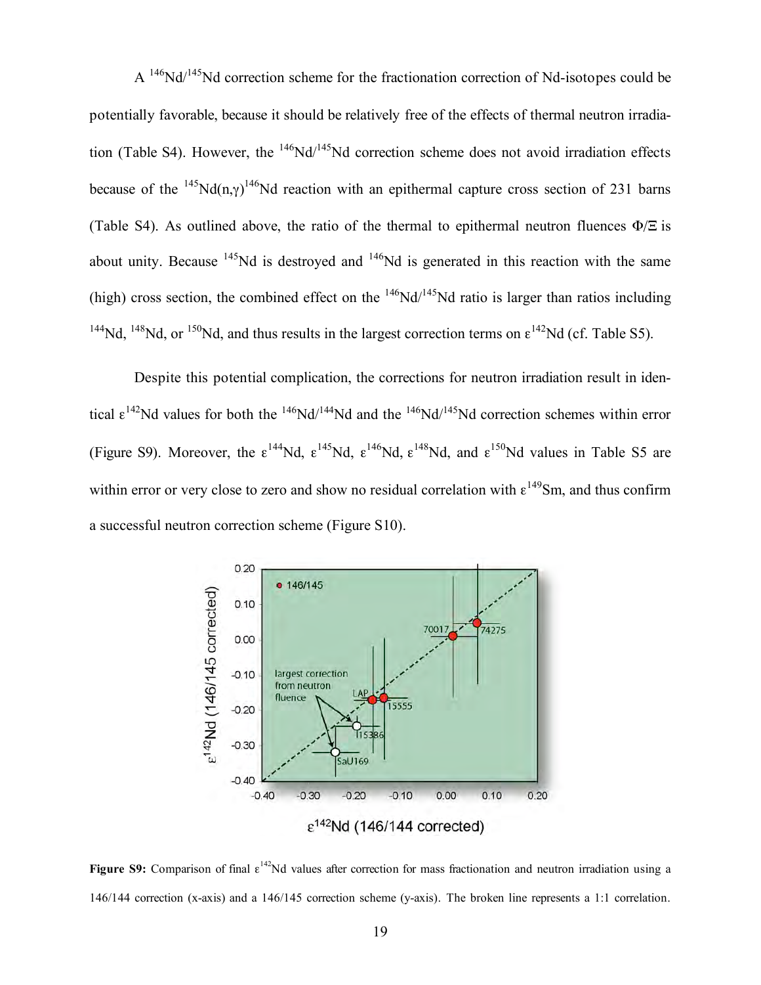$A<sup>146</sup>Nd<sup>145</sup>Nd correction scheme for the fractionation correction of Nd-isotopes could be$ potentially favorable, because it should be relatively free of the effects of thermal neutron irradiation (Table S4). However, the  $^{146}Nd/^{145}Nd$  correction scheme does not avoid irradiation effects because of the <sup>145</sup>Nd(n, $\gamma$ )<sup>146</sup>Nd reaction with an epithermal capture cross section of 231 barns (Table S4). As outlined above, the ratio of the thermal to epithermal neutron fluences  $\Phi/\Xi$  is about unity. Because  $145$ Nd is destroyed and  $146$ Nd is generated in this reaction with the same (high) cross section, the combined effect on the  $^{146}Nd/^{145}Nd$  ratio is larger than ratios including <sup>144</sup>Nd, <sup>148</sup>Nd, or <sup>150</sup>Nd, and thus results in the largest correction terms on  $\epsilon^{142}$ Nd (cf. Table S5).

Despite this potential complication, the corrections for neutron irradiation result in identical  $\epsilon^{142}$ Nd values for both the  $146$ Nd/ $144$ Nd and the  $146$ Nd/ $145$ Nd correction schemes within error (Figure S9). Moreover, the  $\epsilon^{144}$ Nd,  $\epsilon^{145}$ Nd,  $\epsilon^{146}$ Nd,  $\epsilon^{148}$ Nd, and  $\epsilon^{150}$ Nd values in Table S5 are within error or very close to zero and show no residual correlation with  $\epsilon^{149}$ Sm, and thus confirm a successful neutron correction scheme (Figure S10).



**Figure S9:** Comparison of final  $\epsilon^{142}$ Nd values after correction for mass fractionation and neutron irradiation using a 146/144 correction (x-axis) and a 146/145 correction scheme (y-axis). The broken line represents a 1:1 correlation.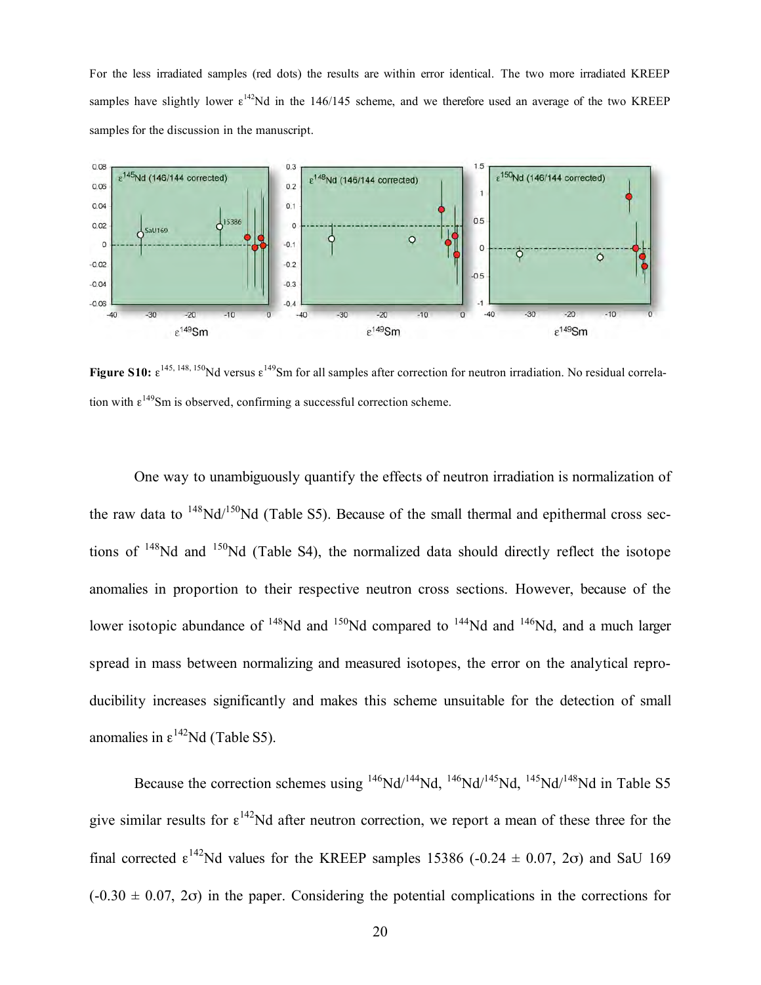For the less irradiated samples (red dots) the results are within error identical. The two more irradiated KREEP samples have slightly lower  $\varepsilon^{142}$ Nd in the 146/145 scheme, and we therefore used an average of the two KREEP samples for the discussion in the manuscript.



**Figure S10:**  $\epsilon^{145, 148, 150}$ Nd versus  $\epsilon^{149}$ Sm for all samples after correction for neutron irradiation. No residual correlation with  $\varepsilon^{149}$ Sm is observed, confirming a successful correction scheme.

One way to unambiguously quantify the effects of neutron irradiation is normalization of the raw data to  $148\text{Nd}/150\text{Nd}$  (Table S5). Because of the small thermal and epithermal cross sections of  $148$ Nd and  $150$ Nd (Table S4), the normalized data should directly reflect the isotope anomalies in proportion to their respective neutron cross sections. However, because of the lower isotopic abundance of  $^{148}$ Nd and  $^{150}$ Nd compared to  $^{144}$ Nd and  $^{146}$ Nd, and a much larger spread in mass between normalizing and measured isotopes, the error on the analytical reproducibility increases significantly and makes this scheme unsuitable for the detection of small anomalies in  $\epsilon^{142}$ Nd (Table S5).

Because the correction schemes using <sup>146</sup>Nd/<sup>144</sup>Nd, <sup>146</sup>Nd/<sup>145</sup>Nd, <sup>145</sup>Nd/<sup>148</sup>Nd in Table S5 give similar results for  $\varepsilon^{142}$ Nd after neutron correction, we report a mean of these three for the final corrected  $\epsilon^{142}$ Nd values for the KREEP samples 15386 (-0.24  $\pm$  0.07, 2 $\sigma$ ) and SaU 169  $(-0.30 \pm 0.07, 2\sigma)$  in the paper. Considering the potential complications in the corrections for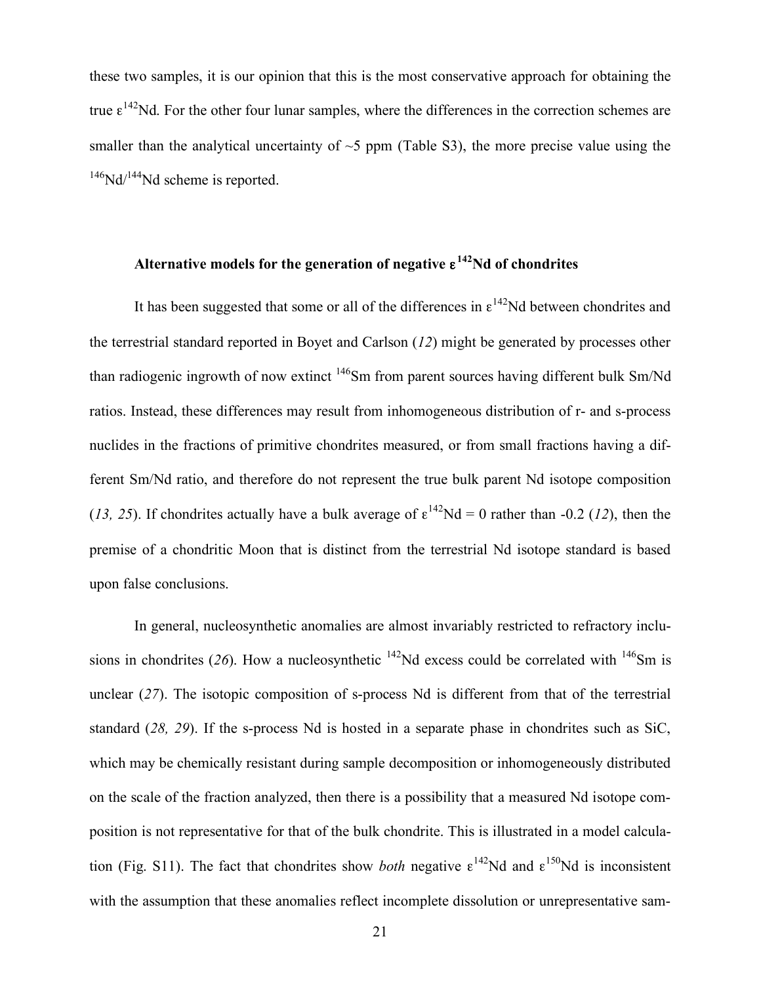these two samples, it is our opinion that this is the most conservative approach for obtaining the true  $\epsilon^{142}$ Nd. For the other four lunar samples, where the differences in the correction schemes are smaller than the analytical uncertainty of  $\sim$ 5 ppm (Table S3), the more precise value using the  $146$ Nd/ $144$ Nd scheme is reported.

## **Alternative models for the generation of negative** ε**142Nd of chondrites**

It has been suggested that some or all of the differences in  $\epsilon^{142}$ Nd between chondrites and the terrestrial standard reported in Boyet and Carlson (*12*) might be generated by processes other than radiogenic ingrowth of now extinct <sup>146</sup>Sm from parent sources having different bulk Sm/Nd ratios. Instead, these differences may result from inhomogeneous distribution of r- and s-process nuclides in the fractions of primitive chondrites measured, or from small fractions having a different Sm/Nd ratio, and therefore do not represent the true bulk parent Nd isotope composition (*13, 25*). If chondrites actually have a bulk average of  $\epsilon^{142}Nd = 0$  rather than -0.2 (*12*), then the premise of a chondritic Moon that is distinct from the terrestrial Nd isotope standard is based upon false conclusions.

In general, nucleosynthetic anomalies are almost invariably restricted to refractory inclusions in chondrites (26). How a nucleosynthetic  $^{142}$ Nd excess could be correlated with  $^{146}$ Sm is unclear (27). The isotopic composition of s-process Nd is different from that of the terrestrial standard (*28, 29*). If the s-process Nd is hosted in a separate phase in chondrites such as SiC, which may be chemically resistant during sample decomposition or inhomogeneously distributed on the scale of the fraction analyzed, then there is a possibility that a measured Nd isotope composition is not representative for that of the bulk chondrite. This is illustrated in a model calculation (Fig. S11). The fact that chondrites show *both* negative  $\epsilon^{142}$ Nd and  $\epsilon^{150}$ Nd is inconsistent with the assumption that these anomalies reflect incomplete dissolution or unrepresentative sam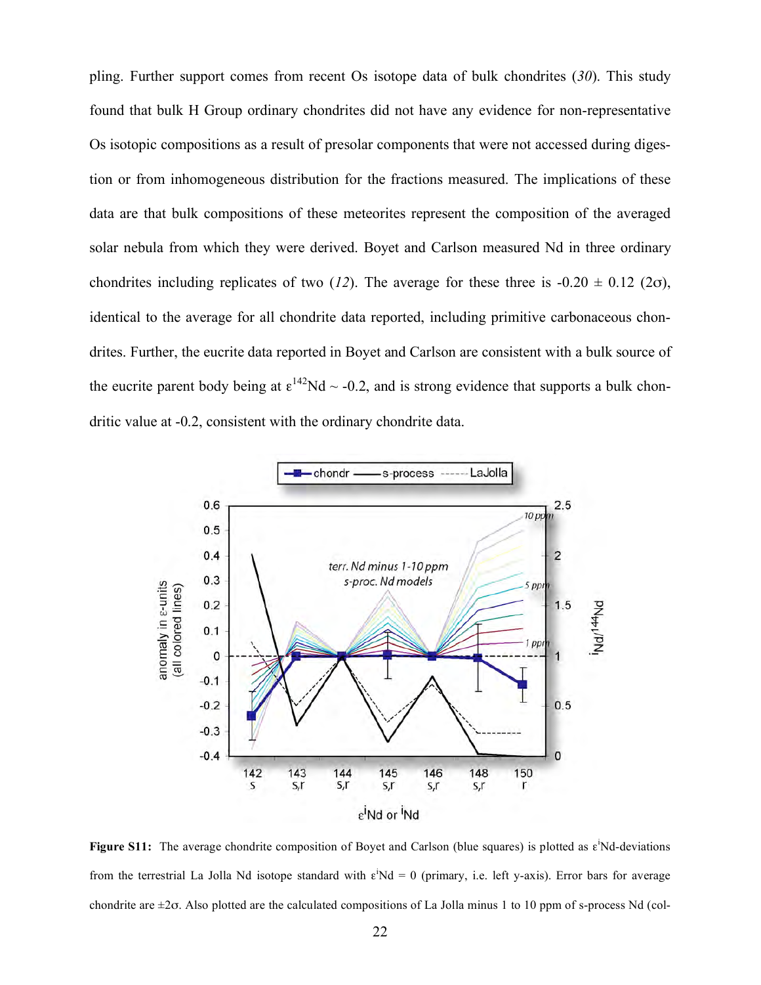pling. Further support comes from recent Os isotope data of bulk chondrites (*30*). This study found that bulk H Group ordinary chondrites did not have any evidence for non-representative Os isotopic compositions as a result of presolar components that were not accessed during digestion or from inhomogeneous distribution for the fractions measured. The implications of these data are that bulk compositions of these meteorites represent the composition of the averaged solar nebula from which they were derived. Boyet and Carlson measured Nd in three ordinary chondrites including replicates of two (*12*). The average for these three is  $-0.20 \pm 0.12$  ( $2\sigma$ ), identical to the average for all chondrite data reported, including primitive carbonaceous chondrites. Further, the eucrite data reported in Boyet and Carlson are consistent with a bulk source of the eucrite parent body being at  $\epsilon^{142}$ Nd  $\sim$  -0.2, and is strong evidence that supports a bulk chondritic value at -0.2, consistent with the ordinary chondrite data.



**Figure S11:** The average chondrite composition of Boyet and Carlson (blue squares) is plotted as ε<sup>i</sup>Nd-deviations from the terrestrial La Jolla Nd isotope standard with  $\varepsilon^i$ Nd = 0 (primary, i.e. left y-axis). Error bars for average chondrite are  $\pm 2\sigma$ . Also plotted are the calculated compositions of La Jolla minus 1 to 10 ppm of s-process Nd (col-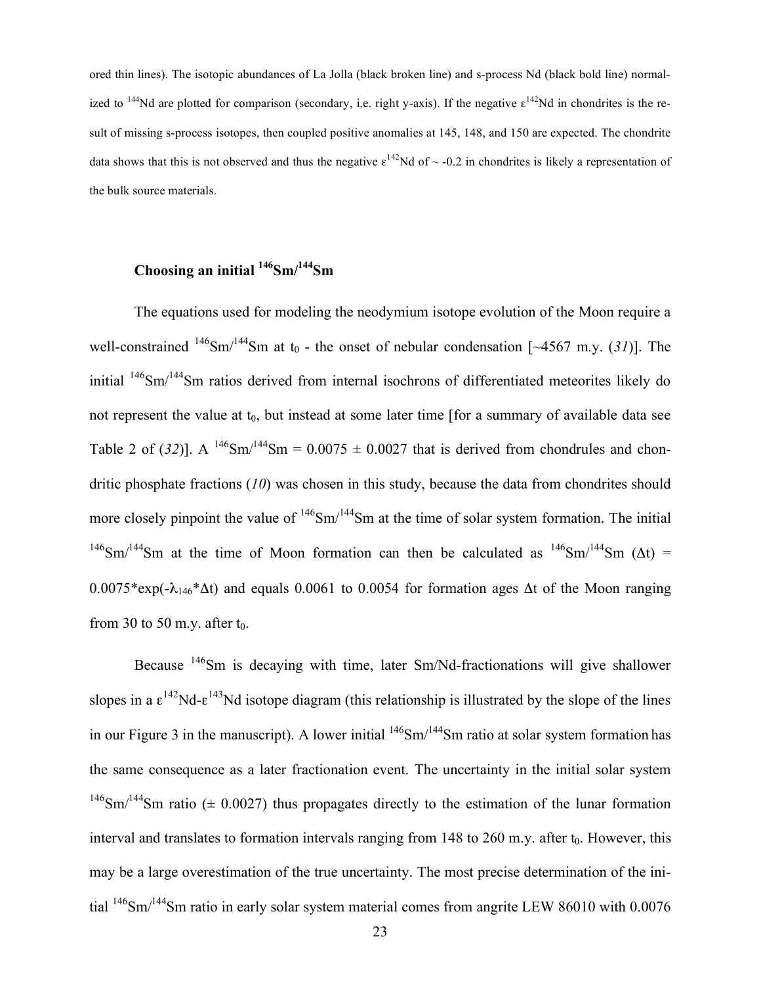ored thin lines). The isotopic abundances of La Jolla (black broken line) and s-process Nd (black bold line) normalized to <sup>144</sup>Nd are plotted for comparison (secondary, i.e. right y-axis). If the negative  $\epsilon^{142}$ Nd in chondrites is the result of missing s-process isotopes, then coupled positive anomalies at 145, 148, and 150 are expected. The chondrite data shows that this is not observed and thus the negative  $\epsilon^{142}$ Nd of  $\sim$  -0.2 in chondrites is likely a representation of the bulk source materials.

## **Choosing an initial 146Sm/144Sm**

The equations used for modeling the neodymium isotope evolution of the Moon require a well-constrained  $146$ Sm/ $144$ Sm at t<sub>0</sub> - the onset of nebular condensation [~4567 m.y. (31)]. The initial 146Sm/144Sm ratios derived from internal isochrons of differentiated meteorites likely do not represent the value at  $t_0$ , but instead at some later time [for a summary of available data see Table 2 of (32)]. A <sup>146</sup>Sm<sup> $/144$ </sup>Sm = 0.0075  $\pm$  0.0027 that is derived from chondrules and chondritic phosphate fractions (*10*) was chosen in this study, because the data from chondrites should more closely pinpoint the value of <sup>146</sup>Sm/<sup>144</sup>Sm at the time of solar system formation. The initial  $146$ Sm/<sup>144</sup>Sm at the time of Moon formation can then be calculated as  $146$ Sm/<sup>144</sup>Sm ( $\Delta t$ ) =  $0.0075*exp(-\lambda_{146}*At)$  and equals 0.0061 to 0.0054 for formation ages  $\Delta t$  of the Moon ranging from 30 to 50 m.y. after  $t_0$ .

Because 146Sm is decaying with time, later Sm/Nd-fractionations will give shallower slopes in a  $\epsilon^{142}$ Nd- $\epsilon^{143}$ Nd isotope diagram (this relationship is illustrated by the slope of the lines in our Figure 3 in the manuscript). A lower initial  $146$ Sm/ $144$ Sm ratio at solar system formation has the same consequence as a later fractionation event. The uncertainty in the initial solar system <sup>146</sup>Sm/<sup>144</sup>Sm ratio ( $\pm$  0.0027) thus propagates directly to the estimation of the lunar formation interval and translates to formation intervals ranging from  $148$  to  $260$  m.y. after  $t_0$ . However, this may be a large overestimation of the true uncertainty. The most precise determination of the initial <sup>146</sup>Sm/<sup>144</sup>Sm ratio in early solar system material comes from angrite LEW 86010 with 0.0076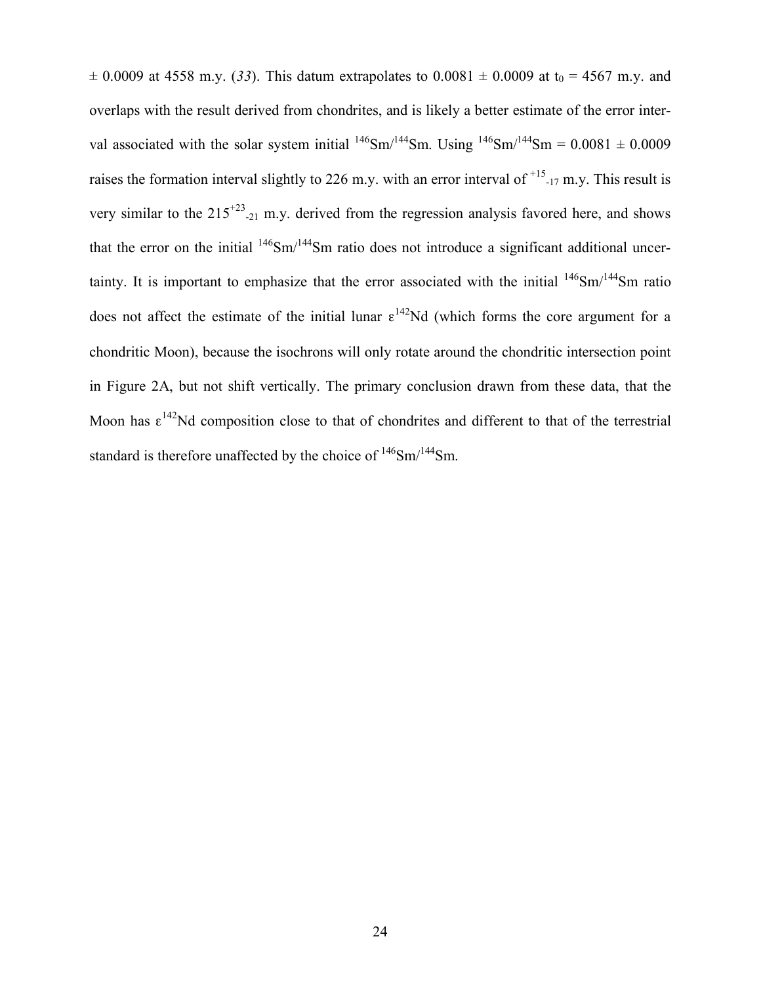$\pm$  0.0009 at 4558 m.y. (33). This datum extrapolates to 0.0081  $\pm$  0.0009 at t<sub>0</sub> = 4567 m.y. and overlaps with the result derived from chondrites, and is likely a better estimate of the error interval associated with the solar system initial  $^{146}Sm^{144}Sm$ . Using  $^{146}Sm^{144}Sm = 0.0081 \pm 0.0009$ raises the formation interval slightly to 226 m.y. with an error interval of  $^{+15}$ -17 m.y. This result is very similar to the  $215^{+23}$ -21 m.y. derived from the regression analysis favored here, and shows that the error on the initial  $146$ Sm/ $144$ Sm ratio does not introduce a significant additional uncertainty. It is important to emphasize that the error associated with the initial  $146$ Sm/ $144$ Sm ratio does not affect the estimate of the initial lunar  $\epsilon^{142}$ Nd (which forms the core argument for a chondritic Moon), because the isochrons will only rotate around the chondritic intersection point in Figure 2A, but not shift vertically. The primary conclusion drawn from these data, that the Moon has  $\epsilon^{142}$ Nd composition close to that of chondrites and different to that of the terrestrial standard is therefore unaffected by the choice of  $146$ Sm/ $144$ Sm.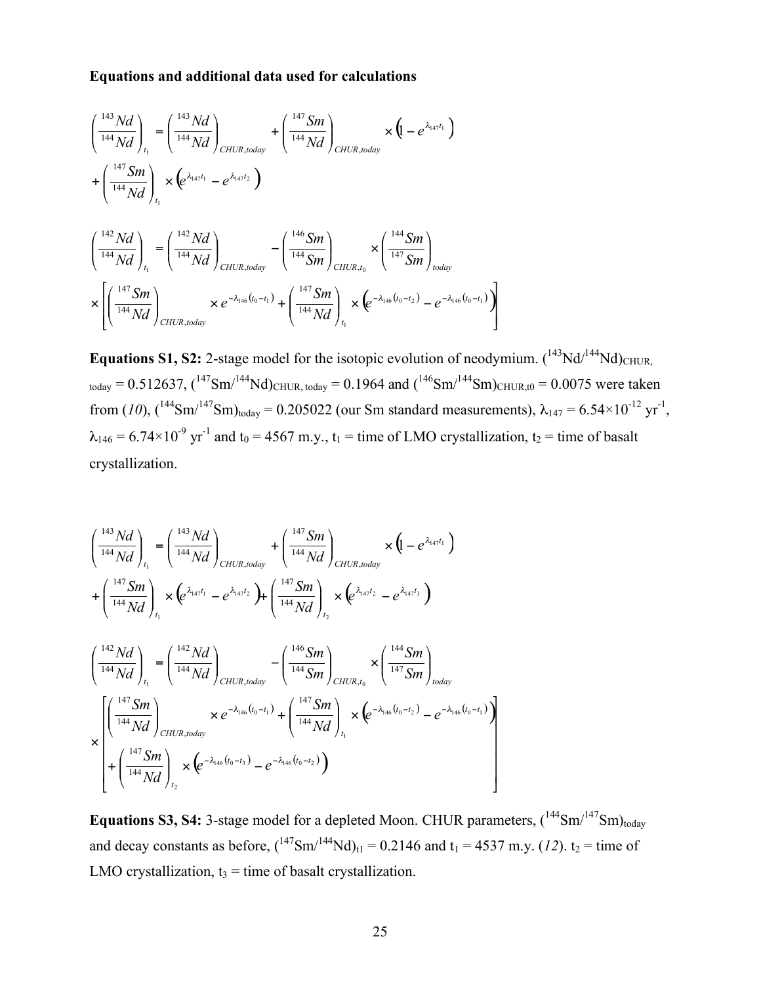## **Equations and additional data used for calculations**

$$
\begin{split}\n\left(\frac{^{143}Nd}{^{144}Nd}\right)_{t_1} &= \left(\frac{^{143}Nd}{^{144}Nd}\right)_{CHUR, today} + \left(\frac{^{147}Sm}{^{144}Nd}\right)_{CHUR, today} \times \left(1 - e^{\lambda_{147}t_1}\right) \\
&+ \left(\frac{^{147}Sm}{^{144}Nd}\right)_{t_1} \times \left(e^{\lambda_{147}t_1} - e^{\lambda_{147}t_2}\right) \\
\left(\frac{^{142}Nd}{^{144}Nd}\right)_{t_1} &= \left(\frac{^{142}Nd}{^{144}Nd}\right)_{CHUR, today} - \left(\frac{^{146}Sm}{^{144}Sm}\right)_{CHUR, t_0} \times \left(\frac{^{144}Sm}{^{147}Sm}\right)_{today} \\
&\times \left[\left(\frac{^{147}Sm}{^{144}Nd}\right)_{CHUR, today} \times e^{-\lambda_{146}(t_0 - t_1)} + \left(\frac{^{147}Sm}{^{144}Nd}\right)_{t_1} \times \left(e^{-\lambda_{146}(t_0 - t_2)} - e^{-\lambda_{146}(t_0 - t_1)}\right)\right]\n\end{split}
$$

**Equations S1, S2:** 2-stage model for the isotopic evolution of neodymium.  $(^{143}Nd/^{144}Nd)$ <sub>CHUR</sub>  $_{\text{today}} = 0.512637$ ,  $(^{147}Sm^{144}Nd)_{\text{CHUR, today}} = 0.1964$  and  $(^{146}Sm^{144}Sm)_{\text{CHUR, to}} = 0.0075$  were taken from (10),  $({}^{144}Sm/{}^{147}Sm)_{today} = 0.205022$  (our Sm standard measurements),  $\lambda_{147} = 6.54 \times 10^{-12}$  yr<sup>-1</sup>,  $\lambda_{146}$  = 6.74×10<sup>-9</sup> yr<sup>-1</sup> and t<sub>0</sub> = 4567 m.y., t<sub>1</sub> = time of LMO crystallization, t<sub>2</sub> = time of basalt crystallization.

$$
\begin{split}\n\left(\frac{^{143}Nd}{^{144}Nd}\right)_{t_1} &= \left(\frac{^{143}Nd}{^{144}Nd}\right)_{CHUR, today} + \left(\frac{^{147}Sm}{^{144}Nd}\right)_{CHUR, today} \times (1 - e^{\lambda_{147}t_1}) \\
&+ \left(\frac{^{147}Sm}{^{144}Nd}\right)_{t_1} \times (e^{\lambda_{147}t_1} - e^{\lambda_{147}t_2}) + \left(\frac{^{147}Sm}{^{144}Nd}\right)_{t_2} \times (e^{\lambda_{147}t_2} - e^{\lambda_{147}t_3}) \\
\left(\frac{^{142}Nd}{^{144}Nd}\right)_{t_1} &= \left(\frac{^{142}Nd}{^{144}Nd}\right)_{CHUR, today} - \left(\frac{^{146}Sm}{^{144}Sm}\right)_{CHUR, to} \times \left(\frac{^{144}Sm}{^{147}Sm}\right)_{odday} \\
&\times \left(\frac{^{142}Md}{^{144}Nd}\right)_{CHUR, today} \times e^{-\lambda_{146}(t_0 - t_1)} + \left(\frac{^{147}Sm}{^{144}Nd}\right)_{t_1} \times (e^{-\lambda_{146}(t_0 - t_2)} - e^{-\lambda_{146}(t_0 - t_1)}) \\
&+ \left(\frac{^{147}Sm}{^{144}Nd}\right)_{t_2} \times (e^{-\lambda_{146}(t_0 - t_3)} - e^{-\lambda_{146}(t_0 - t_2)})\n\end{split}
$$

**Equations S3, S4:** 3-stage model for a depleted Moon. CHUR parameters,  $({}^{144}Sm/{}^{147}Sm)_{today}$ and decay constants as before,  $({}^{147}Sm/{}^{144}Nd)_{t1} = 0.2146$  and  $t_1 = 4537$  m.y. (12).  $t_2 =$  time of LMO crystallization,  $t_3$  = time of basalt crystallization.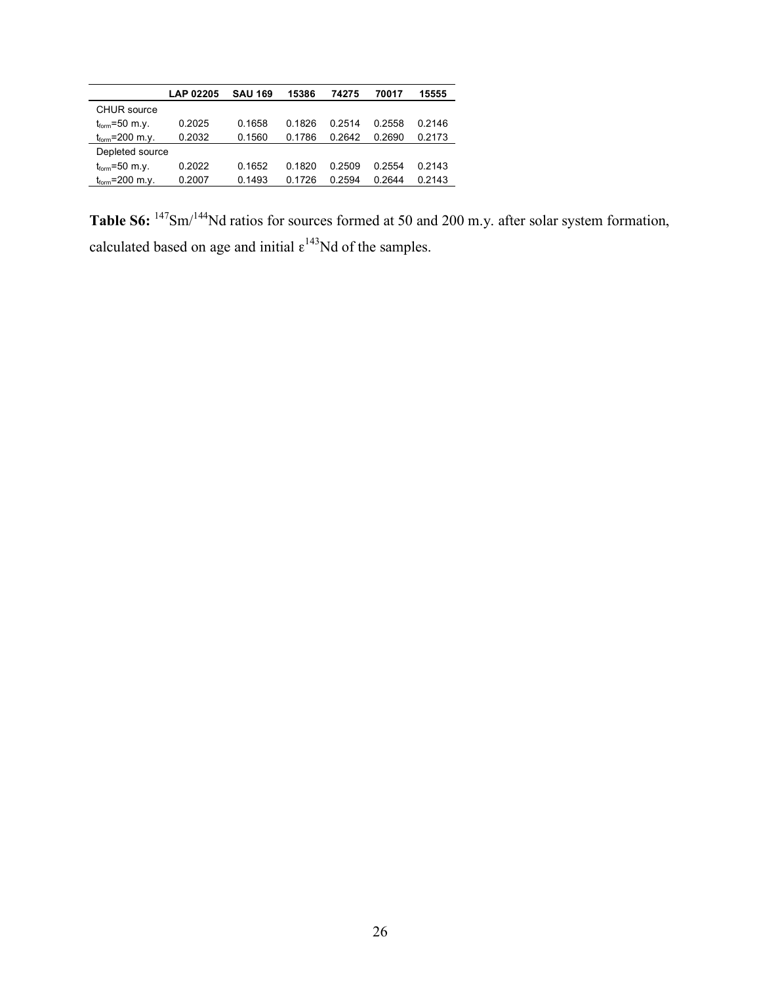| <b>LAP 02205</b> | <b>SAU 169</b> | 15386  | 74275  | 70017  | 15555  |
|------------------|----------------|--------|--------|--------|--------|
|                  |                |        |        |        |        |
| 0.2025           | 0.1658         | 0.1826 | 0 2514 | 0.2558 | 0 2146 |
| 0.2032           | 0.1560         | 0.1786 | 0.2642 | 0.2690 | 0.2173 |
| Depleted source  |                |        |        |        |        |
| 0.2022           | 0.1652         | 0.1820 | 0 2509 | 0.2554 | 0.2143 |
| 0.2007           | 0.1493         | 0.1726 | 0.2594 | 0.2644 | 0.2143 |
|                  |                |        |        |        |        |

Table S6: <sup>147</sup>Sm/<sup>144</sup>Nd ratios for sources formed at 50 and 200 m.y. after solar system formation, calculated based on age and initial  $\epsilon^{143}$ Nd of the samples.